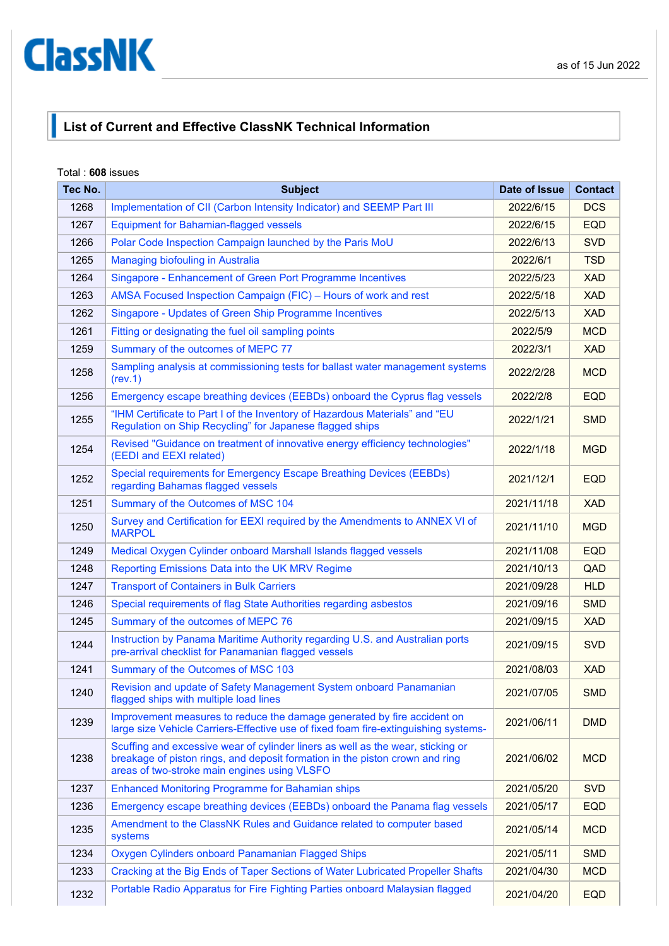## <span id="page-0-0"></span>**ClassNK**

## **List of Current and Effective ClassNK Technical Information**

## Total : **608** issues

| Tec No. | <b>Subject</b>                                                                                                                                                                                                  | Date of Issue | <b>Contact</b> |
|---------|-----------------------------------------------------------------------------------------------------------------------------------------------------------------------------------------------------------------|---------------|----------------|
| 1268    | Implementation of CII (Carbon Intensity Indicator) and SEEMP Part III                                                                                                                                           | 2022/6/15     | <b>DCS</b>     |
| 1267    | <b>Equipment for Bahamian-flagged vessels</b>                                                                                                                                                                   | 2022/6/15     | <b>EQD</b>     |
| 1266    | Polar Code Inspection Campaign launched by the Paris MoU                                                                                                                                                        | 2022/6/13     | <b>SVD</b>     |
| 1265    | Managing biofouling in Australia                                                                                                                                                                                | 2022/6/1      | <b>TSD</b>     |
| 1264    | Singapore - Enhancement of Green Port Programme Incentives                                                                                                                                                      | 2022/5/23     | <b>XAD</b>     |
| 1263    | AMSA Focused Inspection Campaign (FIC) - Hours of work and rest                                                                                                                                                 | 2022/5/18     | <b>XAD</b>     |
| 1262    | Singapore - Updates of Green Ship Programme Incentives                                                                                                                                                          | 2022/5/13     | <b>XAD</b>     |
| 1261    | Fitting or designating the fuel oil sampling points                                                                                                                                                             | 2022/5/9      | <b>MCD</b>     |
| 1259    | Summary of the outcomes of MEPC 77                                                                                                                                                                              | 2022/3/1      | <b>XAD</b>     |
| 1258    | Sampling analysis at commissioning tests for ballast water management systems<br>(rev.1)                                                                                                                        | 2022/2/28     | <b>MCD</b>     |
| 1256    | Emergency escape breathing devices (EEBDs) onboard the Cyprus flag vessels                                                                                                                                      | 2022/2/8      | <b>EQD</b>     |
| 1255    | "IHM Certificate to Part I of the Inventory of Hazardous Materials" and "EU<br>Regulation on Ship Recycling" for Japanese flagged ships                                                                         | 2022/1/21     | <b>SMD</b>     |
| 1254    | Revised "Guidance on treatment of innovative energy efficiency technologies"<br>(EEDI and EEXI related)                                                                                                         | 2022/1/18     | <b>MGD</b>     |
| 1252    | Special requirements for Emergency Escape Breathing Devices (EEBDs)<br>regarding Bahamas flagged vessels                                                                                                        | 2021/12/1     | <b>EQD</b>     |
| 1251    | Summary of the Outcomes of MSC 104                                                                                                                                                                              | 2021/11/18    | <b>XAD</b>     |
| 1250    | Survey and Certification for EEXI required by the Amendments to ANNEX VI of<br><b>MARPOL</b>                                                                                                                    | 2021/11/10    | <b>MGD</b>     |
| 1249    | Medical Oxygen Cylinder onboard Marshall Islands flagged vessels                                                                                                                                                | 2021/11/08    | <b>EQD</b>     |
| 1248    | Reporting Emissions Data into the UK MRV Regime                                                                                                                                                                 | 2021/10/13    | QAD            |
| 1247    | <b>Transport of Containers in Bulk Carriers</b>                                                                                                                                                                 | 2021/09/28    | <b>HLD</b>     |
| 1246    | Special requirements of flag State Authorities regarding asbestos                                                                                                                                               | 2021/09/16    | <b>SMD</b>     |
| 1245    | Summary of the outcomes of MEPC 76                                                                                                                                                                              | 2021/09/15    | <b>XAD</b>     |
| 1244    | Instruction by Panama Maritime Authority regarding U.S. and Australian ports<br>pre-arrival checklist for Panamanian flagged vessels                                                                            | 2021/09/15    | <b>SVD</b>     |
| 1241    | Summary of the Outcomes of MSC 103                                                                                                                                                                              | 2021/08/03    | <b>XAD</b>     |
| 1240    | Revision and update of Safety Management System onboard Panamanian<br>flagged ships with multiple load lines                                                                                                    | 2021/07/05    | <b>SMD</b>     |
| 1239    | Improvement measures to reduce the damage generated by fire accident on<br>large size Vehicle Carriers-Effective use of fixed foam fire-extinguishing systems-                                                  | 2021/06/11    | <b>DMD</b>     |
| 1238    | Scuffing and excessive wear of cylinder liners as well as the wear, sticking or<br>breakage of piston rings, and deposit formation in the piston crown and ring<br>areas of two-stroke main engines using VLSFO | 2021/06/02    | <b>MCD</b>     |
| 1237    | <b>Enhanced Monitoring Programme for Bahamian ships</b>                                                                                                                                                         | 2021/05/20    | <b>SVD</b>     |
| 1236    | Emergency escape breathing devices (EEBDs) onboard the Panama flag vessels                                                                                                                                      | 2021/05/17    | <b>EQD</b>     |
| 1235    | Amendment to the ClassNK Rules and Guidance related to computer based<br>systems                                                                                                                                | 2021/05/14    | <b>MCD</b>     |
| 1234    | Oxygen Cylinders onboard Panamanian Flagged Ships                                                                                                                                                               | 2021/05/11    | <b>SMD</b>     |
| 1233    | Cracking at the Big Ends of Taper Sections of Water Lubricated Propeller Shafts                                                                                                                                 | 2021/04/30    | <b>MCD</b>     |
| 1232    | Portable Radio Apparatus for Fire Fighting Parties onboard Malaysian flagged                                                                                                                                    | 2021/04/20    | <b>EQD</b>     |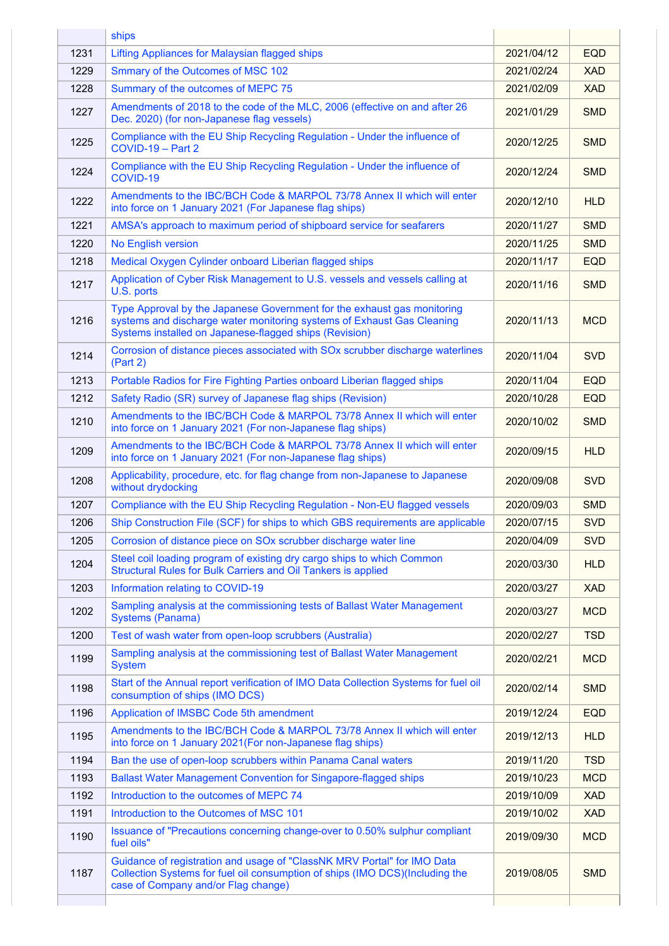|      | ships                                                                                                                                                                                                       |            |            |
|------|-------------------------------------------------------------------------------------------------------------------------------------------------------------------------------------------------------------|------------|------------|
| 1231 | Lifting Appliances for Malaysian flagged ships                                                                                                                                                              | 2021/04/12 | <b>EQD</b> |
| 1229 | Smmary of the Outcomes of MSC 102                                                                                                                                                                           | 2021/02/24 | <b>XAD</b> |
| 1228 | Summary of the outcomes of MEPC 75                                                                                                                                                                          | 2021/02/09 | <b>XAD</b> |
| 1227 | Amendments of 2018 to the code of the MLC, 2006 (effective on and after 26<br>Dec. 2020) (for non-Japanese flag vessels)                                                                                    | 2021/01/29 | <b>SMD</b> |
| 1225 | Compliance with the EU Ship Recycling Regulation - Under the influence of<br>COVID-19 - Part 2                                                                                                              | 2020/12/25 | <b>SMD</b> |
| 1224 | Compliance with the EU Ship Recycling Regulation - Under the influence of<br>COVID-19                                                                                                                       | 2020/12/24 | <b>SMD</b> |
| 1222 | Amendments to the IBC/BCH Code & MARPOL 73/78 Annex II which will enter<br>into force on 1 January 2021 (For Japanese flag ships)                                                                           | 2020/12/10 | <b>HLD</b> |
| 1221 | AMSA's approach to maximum period of shipboard service for seafarers                                                                                                                                        | 2020/11/27 | <b>SMD</b> |
| 1220 | No English version                                                                                                                                                                                          | 2020/11/25 | <b>SMD</b> |
| 1218 | Medical Oxygen Cylinder onboard Liberian flagged ships                                                                                                                                                      | 2020/11/17 | <b>EQD</b> |
| 1217 | Application of Cyber Risk Management to U.S. vessels and vessels calling at<br>U.S. ports                                                                                                                   | 2020/11/16 | <b>SMD</b> |
| 1216 | Type Approval by the Japanese Government for the exhaust gas monitoring<br>systems and discharge water monitoring systems of Exhaust Gas Cleaning<br>Systems installed on Japanese-flagged ships (Revision) | 2020/11/13 | <b>MCD</b> |
| 1214 | Corrosion of distance pieces associated with SOx scrubber discharge waterlines<br>(Part 2)                                                                                                                  | 2020/11/04 | <b>SVD</b> |
| 1213 | Portable Radios for Fire Fighting Parties onboard Liberian flagged ships                                                                                                                                    | 2020/11/04 | <b>EQD</b> |
| 1212 | Safety Radio (SR) survey of Japanese flag ships (Revision)                                                                                                                                                  | 2020/10/28 | <b>EQD</b> |
| 1210 | Amendments to the IBC/BCH Code & MARPOL 73/78 Annex II which will enter<br>into force on 1 January 2021 (For non-Japanese flag ships)                                                                       | 2020/10/02 | <b>SMD</b> |
| 1209 | Amendments to the IBC/BCH Code & MARPOL 73/78 Annex II which will enter<br>into force on 1 January 2021 (For non-Japanese flag ships)                                                                       | 2020/09/15 | <b>HLD</b> |
| 1208 | Applicability, procedure, etc. for flag change from non-Japanese to Japanese<br>without drydocking                                                                                                          | 2020/09/08 | <b>SVD</b> |
| 1207 | Compliance with the EU Ship Recycling Regulation - Non-EU flagged vessels                                                                                                                                   | 2020/09/03 | <b>SMD</b> |
| 1206 | Ship Construction File (SCF) for ships to which GBS requirements are applicable                                                                                                                             | 2020/07/15 | <b>SVD</b> |
| 1205 | Corrosion of distance piece on SOx scrubber discharge water line                                                                                                                                            | 2020/04/09 | <b>SVD</b> |
| 1204 | Steel coil loading program of existing dry cargo ships to which Common<br>Structural Rules for Bulk Carriers and Oil Tankers is applied                                                                     | 2020/03/30 | <b>HLD</b> |
| 1203 | Information relating to COVID-19                                                                                                                                                                            | 2020/03/27 | <b>XAD</b> |
| 1202 | Sampling analysis at the commissioning tests of Ballast Water Management<br><b>Systems (Panama)</b>                                                                                                         | 2020/03/27 | <b>MCD</b> |
| 1200 | Test of wash water from open-loop scrubbers (Australia)                                                                                                                                                     | 2020/02/27 | <b>TSD</b> |
| 1199 | Sampling analysis at the commissioning test of Ballast Water Management<br><b>System</b>                                                                                                                    | 2020/02/21 | <b>MCD</b> |
| 1198 | Start of the Annual report verification of IMO Data Collection Systems for fuel oil<br>consumption of ships (IMO DCS)                                                                                       | 2020/02/14 | <b>SMD</b> |
| 1196 | Application of IMSBC Code 5th amendment                                                                                                                                                                     | 2019/12/24 | <b>EQD</b> |
| 1195 | Amendments to the IBC/BCH Code & MARPOL 73/78 Annex II which will enter<br>into force on 1 January 2021 (For non-Japanese flag ships)                                                                       | 2019/12/13 | <b>HLD</b> |
| 1194 | Ban the use of open-loop scrubbers within Panama Canal waters                                                                                                                                               | 2019/11/20 | <b>TSD</b> |
| 1193 | <b>Ballast Water Management Convention for Singapore-flagged ships</b>                                                                                                                                      | 2019/10/23 | <b>MCD</b> |
| 1192 | Introduction to the outcomes of MEPC 74                                                                                                                                                                     | 2019/10/09 | <b>XAD</b> |
| 1191 | Introduction to the Outcomes of MSC 101                                                                                                                                                                     | 2019/10/02 | <b>XAD</b> |
| 1190 | Issuance of "Precautions concerning change-over to 0.50% sulphur compliant<br>fuel oils"                                                                                                                    | 2019/09/30 | <b>MCD</b> |
| 1187 | Guidance of registration and usage of "ClassNK MRV Portal" for IMO Data<br>Collection Systems for fuel oil consumption of ships (IMO DCS)(Including the<br>case of Company and/or Flag change)              | 2019/08/05 | <b>SMD</b> |
|      |                                                                                                                                                                                                             |            |            |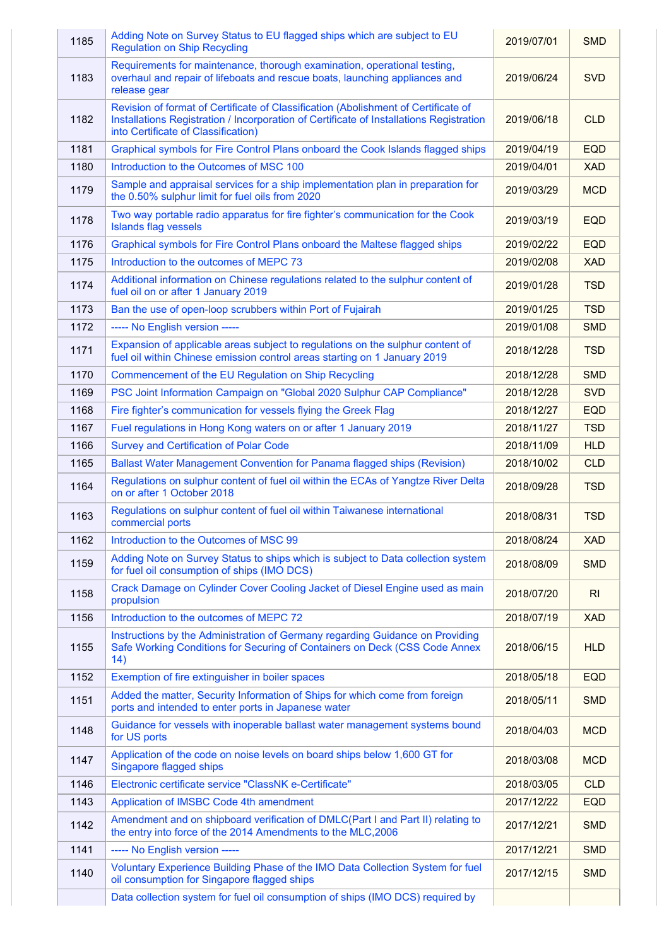| 1185 | Adding Note on Survey Status to EU flagged ships which are subject to EU<br><b>Regulation on Ship Recycling</b>                                                                                                      | 2019/07/01 | <b>SMD</b>     |
|------|----------------------------------------------------------------------------------------------------------------------------------------------------------------------------------------------------------------------|------------|----------------|
| 1183 | Requirements for maintenance, thorough examination, operational testing,<br>overhaul and repair of lifeboats and rescue boats, launching appliances and<br>release gear                                              | 2019/06/24 | <b>SVD</b>     |
| 1182 | Revision of format of Certificate of Classification (Abolishment of Certificate of<br>Installations Registration / Incorporation of Certificate of Installations Registration<br>into Certificate of Classification) | 2019/06/18 | <b>CLD</b>     |
| 1181 | Graphical symbols for Fire Control Plans onboard the Cook Islands flagged ships                                                                                                                                      | 2019/04/19 | <b>EQD</b>     |
| 1180 | Introduction to the Outcomes of MSC 100                                                                                                                                                                              | 2019/04/01 | <b>XAD</b>     |
| 1179 | Sample and appraisal services for a ship implementation plan in preparation for<br>the 0.50% sulphur limit for fuel oils from 2020                                                                                   | 2019/03/29 | <b>MCD</b>     |
| 1178 | Two way portable radio apparatus for fire fighter's communication for the Cook<br><b>Islands flag vessels</b>                                                                                                        | 2019/03/19 | <b>EQD</b>     |
| 1176 | Graphical symbols for Fire Control Plans onboard the Maltese flagged ships                                                                                                                                           | 2019/02/22 | <b>EQD</b>     |
| 1175 | Introduction to the outcomes of MEPC 73                                                                                                                                                                              | 2019/02/08 | <b>XAD</b>     |
| 1174 | Additional information on Chinese regulations related to the sulphur content of<br>fuel oil on or after 1 January 2019                                                                                               | 2019/01/28 | <b>TSD</b>     |
| 1173 | Ban the use of open-loop scrubbers within Port of Fujairah                                                                                                                                                           | 2019/01/25 | <b>TSD</b>     |
| 1172 | ----- No English version -----                                                                                                                                                                                       | 2019/01/08 | <b>SMD</b>     |
| 1171 | Expansion of applicable areas subject to regulations on the sulphur content of<br>fuel oil within Chinese emission control areas starting on 1 January 2019                                                          | 2018/12/28 | <b>TSD</b>     |
| 1170 | Commencement of the EU Regulation on Ship Recycling                                                                                                                                                                  | 2018/12/28 | <b>SMD</b>     |
| 1169 | PSC Joint Information Campaign on "Global 2020 Sulphur CAP Compliance"                                                                                                                                               | 2018/12/28 | <b>SVD</b>     |
| 1168 | Fire fighter's communication for vessels flying the Greek Flag                                                                                                                                                       | 2018/12/27 | <b>EQD</b>     |
| 1167 | Fuel regulations in Hong Kong waters on or after 1 January 2019                                                                                                                                                      | 2018/11/27 | <b>TSD</b>     |
| 1166 | <b>Survey and Certification of Polar Code</b>                                                                                                                                                                        | 2018/11/09 | <b>HLD</b>     |
| 1165 | Ballast Water Management Convention for Panama flagged ships (Revision)                                                                                                                                              | 2018/10/02 | <b>CLD</b>     |
| 1164 | Regulations on sulphur content of fuel oil within the ECAs of Yangtze River Delta<br>on or after 1 October 2018                                                                                                      | 2018/09/28 | <b>TSD</b>     |
| 1163 | Regulations on sulphur content of fuel oil within Taiwanese international<br>commercial ports                                                                                                                        | 2018/08/31 | <b>TSD</b>     |
| 1162 | Introduction to the Outcomes of MSC 99                                                                                                                                                                               | 2018/08/24 | <b>XAD</b>     |
| 1159 | Adding Note on Survey Status to ships which is subject to Data collection system<br>for fuel oil consumption of ships (IMO DCS)                                                                                      | 2018/08/09 | <b>SMD</b>     |
| 1158 | Crack Damage on Cylinder Cover Cooling Jacket of Diesel Engine used as main<br>propulsion                                                                                                                            | 2018/07/20 | R <sub>l</sub> |
| 1156 | Introduction to the outcomes of MEPC 72                                                                                                                                                                              | 2018/07/19 | <b>XAD</b>     |
| 1155 | Instructions by the Administration of Germany regarding Guidance on Providing<br>Safe Working Conditions for Securing of Containers on Deck (CSS Code Annex<br>14)                                                   | 2018/06/15 | <b>HLD</b>     |
| 1152 | Exemption of fire extinguisher in boiler spaces                                                                                                                                                                      | 2018/05/18 | <b>EQD</b>     |
| 1151 | Added the matter, Security Information of Ships for which come from foreign<br>ports and intended to enter ports in Japanese water                                                                                   | 2018/05/11 | <b>SMD</b>     |
| 1148 | Guidance for vessels with inoperable ballast water management systems bound<br>for US ports                                                                                                                          | 2018/04/03 | <b>MCD</b>     |
| 1147 | Application of the code on noise levels on board ships below 1,600 GT for<br>Singapore flagged ships                                                                                                                 | 2018/03/08 | <b>MCD</b>     |
| 1146 | Electronic certificate service "ClassNK e-Certificate"                                                                                                                                                               | 2018/03/05 | <b>CLD</b>     |
| 1143 | Application of IMSBC Code 4th amendment                                                                                                                                                                              | 2017/12/22 | <b>EQD</b>     |
| 1142 | Amendment and on shipboard verification of DMLC(Part I and Part II) relating to<br>the entry into force of the 2014 Amendments to the MLC, 2006                                                                      | 2017/12/21 | <b>SMD</b>     |
| 1141 | ----- No English version -----                                                                                                                                                                                       | 2017/12/21 | <b>SMD</b>     |
| 1140 | Voluntary Experience Building Phase of the IMO Data Collection System for fuel<br>oil consumption for Singapore flagged ships                                                                                        | 2017/12/15 | <b>SMD</b>     |
|      | Data collection system for fuel oil consumption of ships (IMO DCS) required by                                                                                                                                       |            |                |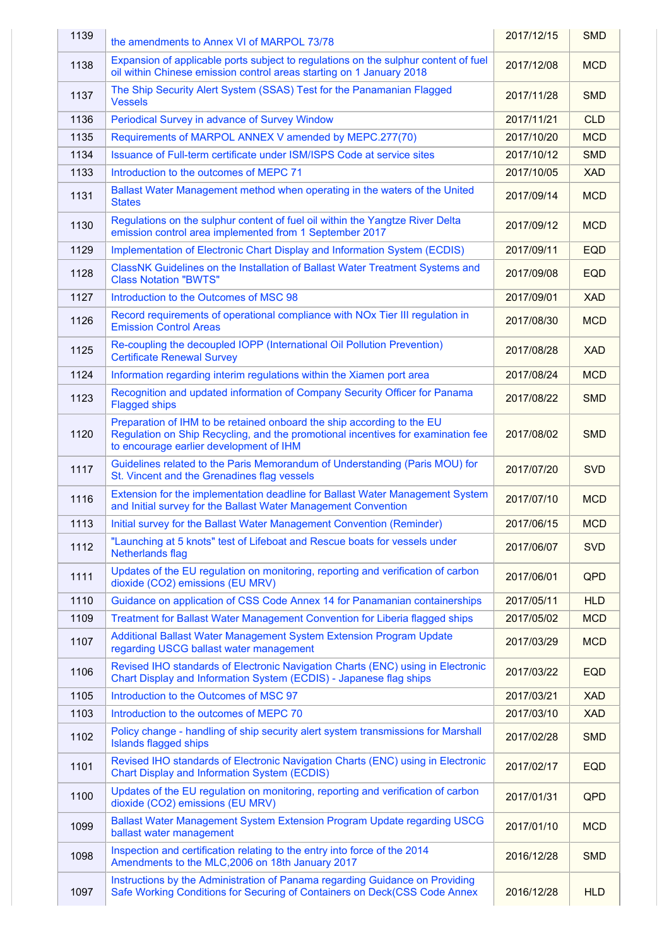| 1139 | the amendments to Annex VI of MARPOL 73/78                                                                                                                                                            | 2017/12/15 | <b>SMD</b> |
|------|-------------------------------------------------------------------------------------------------------------------------------------------------------------------------------------------------------|------------|------------|
| 1138 | Expansion of applicable ports subject to regulations on the sulphur content of fuel<br>oil within Chinese emission control areas starting on 1 January 2018                                           | 2017/12/08 | <b>MCD</b> |
| 1137 | The Ship Security Alert System (SSAS) Test for the Panamanian Flagged<br><b>Vessels</b>                                                                                                               | 2017/11/28 | <b>SMD</b> |
| 1136 | Periodical Survey in advance of Survey Window                                                                                                                                                         | 2017/11/21 | <b>CLD</b> |
| 1135 | Requirements of MARPOL ANNEX V amended by MEPC.277(70)                                                                                                                                                | 2017/10/20 | <b>MCD</b> |
| 1134 | Issuance of Full-term certificate under ISM/ISPS Code at service sites                                                                                                                                | 2017/10/12 | <b>SMD</b> |
| 1133 | Introduction to the outcomes of MEPC 71                                                                                                                                                               | 2017/10/05 | <b>XAD</b> |
| 1131 | Ballast Water Management method when operating in the waters of the United<br><b>States</b>                                                                                                           | 2017/09/14 | <b>MCD</b> |
| 1130 | Regulations on the sulphur content of fuel oil within the Yangtze River Delta<br>emission control area implemented from 1 September 2017                                                              | 2017/09/12 | <b>MCD</b> |
| 1129 | Implementation of Electronic Chart Display and Information System (ECDIS)                                                                                                                             | 2017/09/11 | <b>EQD</b> |
| 1128 | ClassNK Guidelines on the Installation of Ballast Water Treatment Systems and<br><b>Class Notation "BWTS"</b>                                                                                         | 2017/09/08 | <b>EQD</b> |
| 1127 | Introduction to the Outcomes of MSC 98                                                                                                                                                                | 2017/09/01 | <b>XAD</b> |
| 1126 | Record requirements of operational compliance with NO <sub>x</sub> Tier III regulation in<br><b>Emission Control Areas</b>                                                                            | 2017/08/30 | <b>MCD</b> |
| 1125 | Re-coupling the decoupled IOPP (International Oil Pollution Prevention)<br><b>Certificate Renewal Survey</b>                                                                                          | 2017/08/28 | <b>XAD</b> |
| 1124 | Information regarding interim regulations within the Xiamen port area                                                                                                                                 | 2017/08/24 | <b>MCD</b> |
| 1123 | Recognition and updated information of Company Security Officer for Panama<br><b>Flagged ships</b>                                                                                                    | 2017/08/22 | <b>SMD</b> |
| 1120 | Preparation of IHM to be retained onboard the ship according to the EU<br>Regulation on Ship Recycling, and the promotional incentives for examination fee<br>to encourage earlier development of IHM | 2017/08/02 | <b>SMD</b> |
| 1117 | Guidelines related to the Paris Memorandum of Understanding (Paris MOU) for<br>St. Vincent and the Grenadines flag vessels                                                                            | 2017/07/20 | <b>SVD</b> |
| 1116 | Extension for the implementation deadline for Ballast Water Management System<br>and Initial survey for the Ballast Water Management Convention                                                       | 2017/07/10 | <b>MCD</b> |
| 1113 | Initial survey for the Ballast Water Management Convention (Reminder)                                                                                                                                 | 2017/06/15 | <b>MCD</b> |
| 1112 | "Launching at 5 knots" test of Lifeboat and Rescue boats for vessels under<br><b>Netherlands flag</b>                                                                                                 | 2017/06/07 | <b>SVD</b> |
| 1111 | Updates of the EU regulation on monitoring, reporting and verification of carbon<br>dioxide (CO2) emissions (EU MRV)                                                                                  | 2017/06/01 | QPD        |
| 1110 | Guidance on application of CSS Code Annex 14 for Panamanian containerships                                                                                                                            | 2017/05/11 | <b>HLD</b> |
| 1109 | Treatment for Ballast Water Management Convention for Liberia flagged ships                                                                                                                           | 2017/05/02 | <b>MCD</b> |
| 1107 | Additional Ballast Water Management System Extension Program Update<br>regarding USCG ballast water management                                                                                        | 2017/03/29 | <b>MCD</b> |
| 1106 | Revised IHO standards of Electronic Navigation Charts (ENC) using in Electronic<br>Chart Display and Information System (ECDIS) - Japanese flag ships                                                 | 2017/03/22 | <b>EQD</b> |
| 1105 | Introduction to the Outcomes of MSC 97                                                                                                                                                                | 2017/03/21 | <b>XAD</b> |
| 1103 | Introduction to the outcomes of MEPC 70                                                                                                                                                               | 2017/03/10 | <b>XAD</b> |
| 1102 | Policy change - handling of ship security alert system transmissions for Marshall<br><b>Islands flagged ships</b>                                                                                     | 2017/02/28 | <b>SMD</b> |
| 1101 | Revised IHO standards of Electronic Navigation Charts (ENC) using in Electronic<br><b>Chart Display and Information System (ECDIS)</b>                                                                | 2017/02/17 | <b>EQD</b> |
| 1100 | Updates of the EU regulation on monitoring, reporting and verification of carbon<br>dioxide (CO2) emissions (EU MRV)                                                                                  | 2017/01/31 | QPD        |
| 1099 | Ballast Water Management System Extension Program Update regarding USCG<br>ballast water management                                                                                                   | 2017/01/10 | <b>MCD</b> |
| 1098 | Inspection and certification relating to the entry into force of the 2014<br>Amendments to the MLC, 2006 on 18th January 2017                                                                         | 2016/12/28 | <b>SMD</b> |
| 1097 | Instructions by the Administration of Panama regarding Guidance on Providing<br>Safe Working Conditions for Securing of Containers on Deck(CSS Code Annex                                             | 2016/12/28 | <b>HLD</b> |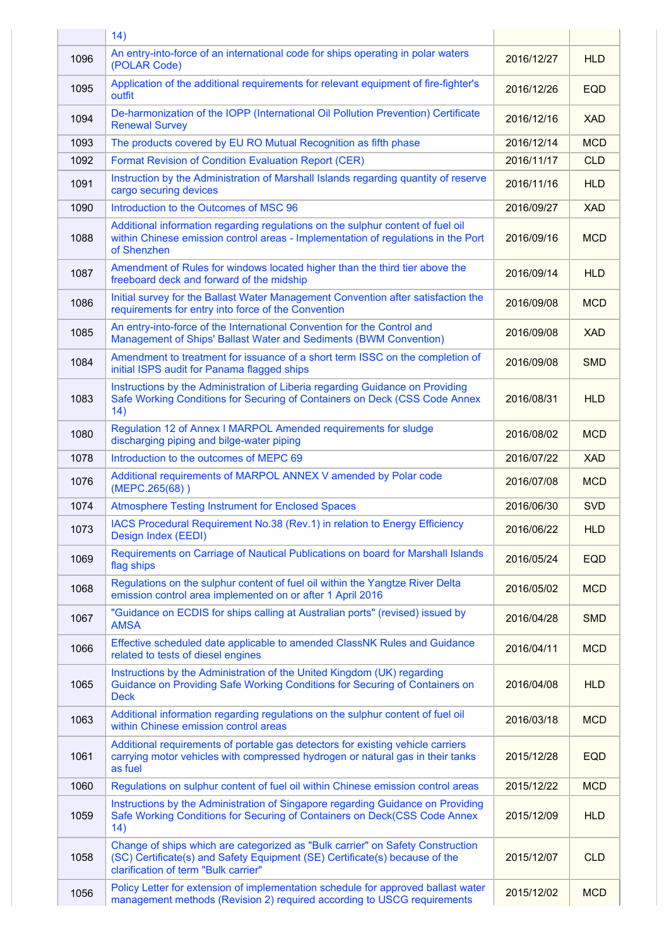|      | 14)                                                                                                                                                                                                   |            |            |
|------|-------------------------------------------------------------------------------------------------------------------------------------------------------------------------------------------------------|------------|------------|
| 1096 | An entry-into-force of an international code for ships operating in polar waters<br>(POLAR Code)                                                                                                      | 2016/12/27 | <b>HLD</b> |
| 1095 | Application of the additional requirements for relevant equipment of fire-fighter's<br>outfit                                                                                                         | 2016/12/26 | <b>EQD</b> |
| 1094 | De-harmonization of the IOPP (International Oil Pollution Prevention) Certificate<br><b>Renewal Survey</b>                                                                                            | 2016/12/16 | <b>XAD</b> |
| 1093 | The products covered by EU RO Mutual Recognition as fifth phase                                                                                                                                       | 2016/12/14 | <b>MCD</b> |
| 1092 | <b>Format Revision of Condition Evaluation Report (CER)</b>                                                                                                                                           | 2016/11/17 | <b>CLD</b> |
| 1091 | Instruction by the Administration of Marshall Islands regarding quantity of reserve<br>cargo securing devices                                                                                         | 2016/11/16 | <b>HLD</b> |
| 1090 | Introduction to the Outcomes of MSC 96                                                                                                                                                                | 2016/09/27 | <b>XAD</b> |
| 1088 | Additional information regarding regulations on the sulphur content of fuel oil<br>within Chinese emission control areas - Implementation of regulations in the Port<br>of Shenzhen                   | 2016/09/16 | <b>MCD</b> |
| 1087 | Amendment of Rules for windows located higher than the third tier above the<br>freeboard deck and forward of the midship                                                                              | 2016/09/14 | <b>HLD</b> |
| 1086 | Initial survey for the Ballast Water Management Convention after satisfaction the<br>requirements for entry into force of the Convention                                                              | 2016/09/08 | <b>MCD</b> |
| 1085 | An entry-into-force of the International Convention for the Control and<br>Management of Ships' Ballast Water and Sediments (BWM Convention)                                                          | 2016/09/08 | <b>XAD</b> |
| 1084 | Amendment to treatment for issuance of a short term ISSC on the completion of<br>initial ISPS audit for Panama flagged ships                                                                          | 2016/09/08 | <b>SMD</b> |
| 1083 | Instructions by the Administration of Liberia regarding Guidance on Providing<br>Safe Working Conditions for Securing of Containers on Deck (CSS Code Annex<br>14)                                    | 2016/08/31 | <b>HLD</b> |
| 1080 | Regulation 12 of Annex I MARPOL Amended requirements for sludge<br>discharging piping and bilge-water piping                                                                                          | 2016/08/02 | <b>MCD</b> |
| 1078 | Introduction to the outcomes of MEPC 69                                                                                                                                                               | 2016/07/22 | <b>XAD</b> |
| 1076 | Additional requirements of MARPOL ANNEX V amended by Polar code<br>(MEPC.265(68))                                                                                                                     | 2016/07/08 | <b>MCD</b> |
| 1074 | <b>Atmosphere Testing Instrument for Enclosed Spaces</b>                                                                                                                                              | 2016/06/30 | <b>SVD</b> |
| 1073 | IACS Procedural Requirement No.38 (Rev.1) in relation to Energy Efficiency<br>Design Index (EEDI)                                                                                                     | 2016/06/22 | <b>HLD</b> |
| 1069 | Requirements on Carriage of Nautical Publications on board for Marshall Islands<br>flag ships                                                                                                         | 2016/05/24 | <b>EQD</b> |
| 1068 | Regulations on the sulphur content of fuel oil within the Yangtze River Delta<br>emission control area implemented on or after 1 April 2016                                                           | 2016/05/02 | <b>MCD</b> |
| 1067 | "Guidance on ECDIS for ships calling at Australian ports" (revised) issued by<br><b>AMSA</b>                                                                                                          | 2016/04/28 | <b>SMD</b> |
| 1066 | Effective scheduled date applicable to amended ClassNK Rules and Guidance<br>related to tests of diesel engines                                                                                       | 2016/04/11 | <b>MCD</b> |
| 1065 | Instructions by the Administration of the United Kingdom (UK) regarding<br>Guidance on Providing Safe Working Conditions for Securing of Containers on<br><b>Deck</b>                                 | 2016/04/08 | <b>HLD</b> |
| 1063 | Additional information regarding regulations on the sulphur content of fuel oil<br>within Chinese emission control areas                                                                              | 2016/03/18 | <b>MCD</b> |
| 1061 | Additional requirements of portable gas detectors for existing vehicle carriers<br>carrying motor vehicles with compressed hydrogen or natural gas in their tanks<br>as fuel                          | 2015/12/28 | <b>EQD</b> |
| 1060 | Regulations on sulphur content of fuel oil within Chinese emission control areas                                                                                                                      | 2015/12/22 | <b>MCD</b> |
| 1059 | Instructions by the Administration of Singapore regarding Guidance on Providing<br>Safe Working Conditions for Securing of Containers on Deck(CSS Code Annex<br>14)                                   | 2015/12/09 | <b>HLD</b> |
| 1058 | Change of ships which are categorized as "Bulk carrier" on Safety Construction<br>(SC) Certificate(s) and Safety Equipment (SE) Certificate(s) because of the<br>clarification of term "Bulk carrier" | 2015/12/07 | <b>CLD</b> |
| 1056 | Policy Letter for extension of implementation schedule for approved ballast water<br>management methods (Revision 2) required according to USCG requirements                                          | 2015/12/02 | <b>MCD</b> |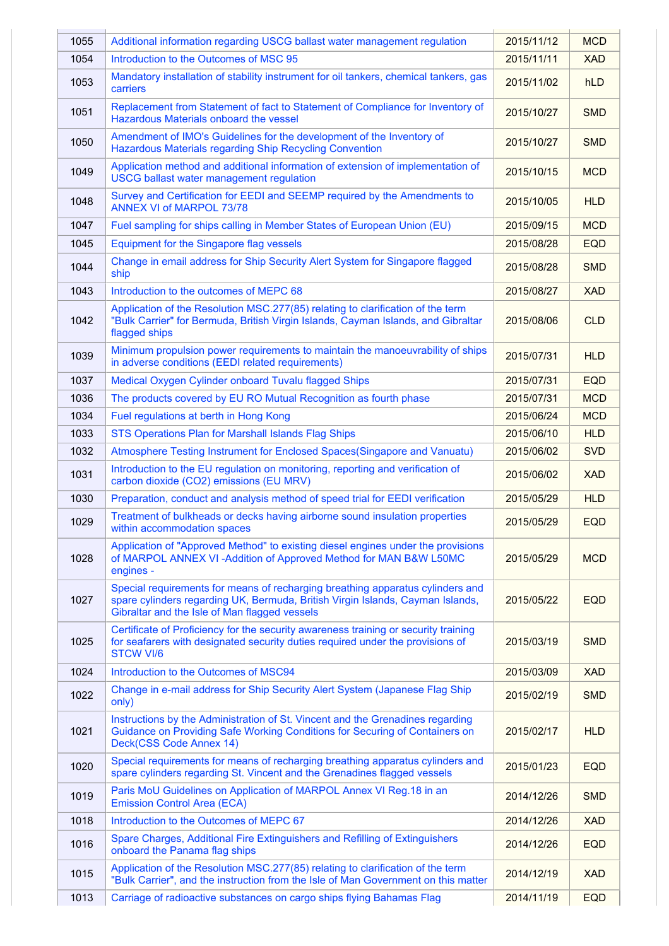| 1055 | Additional information regarding USCG ballast water management regulation                                                                                                                                         | 2015/11/12 | <b>MCD</b> |
|------|-------------------------------------------------------------------------------------------------------------------------------------------------------------------------------------------------------------------|------------|------------|
| 1054 | Introduction to the Outcomes of MSC 95                                                                                                                                                                            | 2015/11/11 | <b>XAD</b> |
| 1053 | Mandatory installation of stability instrument for oil tankers, chemical tankers, gas<br>carriers                                                                                                                 | 2015/11/02 | <b>hLD</b> |
| 1051 | Replacement from Statement of fact to Statement of Compliance for Inventory of<br>Hazardous Materials onboard the vessel                                                                                          | 2015/10/27 | <b>SMD</b> |
| 1050 | Amendment of IMO's Guidelines for the development of the Inventory of<br>Hazardous Materials regarding Ship Recycling Convention                                                                                  | 2015/10/27 | <b>SMD</b> |
| 1049 | Application method and additional information of extension of implementation of<br><b>USCG ballast water management regulation</b>                                                                                | 2015/10/15 | <b>MCD</b> |
| 1048 | Survey and Certification for EEDI and SEEMP required by the Amendments to<br><b>ANNEX VI of MARPOL 73/78</b>                                                                                                      | 2015/10/05 | <b>HLD</b> |
| 1047 | Fuel sampling for ships calling in Member States of European Union (EU)                                                                                                                                           | 2015/09/15 | <b>MCD</b> |
| 1045 | Equipment for the Singapore flag vessels                                                                                                                                                                          | 2015/08/28 | <b>EQD</b> |
| 1044 | Change in email address for Ship Security Alert System for Singapore flagged<br>ship                                                                                                                              | 2015/08/28 | <b>SMD</b> |
| 1043 | Introduction to the outcomes of MEPC 68                                                                                                                                                                           | 2015/08/27 | <b>XAD</b> |
| 1042 | Application of the Resolution MSC.277(85) relating to clarification of the term<br>"Bulk Carrier" for Bermuda, British Virgin Islands, Cayman Islands, and Gibraltar<br>flagged ships                             | 2015/08/06 | <b>CLD</b> |
| 1039 | Minimum propulsion power requirements to maintain the manoeuvrability of ships<br>in adverse conditions (EEDI related requirements)                                                                               | 2015/07/31 | <b>HLD</b> |
| 1037 | Medical Oxygen Cylinder onboard Tuvalu flagged Ships                                                                                                                                                              | 2015/07/31 | <b>EQD</b> |
| 1036 | The products covered by EU RO Mutual Recognition as fourth phase                                                                                                                                                  | 2015/07/31 | <b>MCD</b> |
| 1034 | Fuel regulations at berth in Hong Kong                                                                                                                                                                            | 2015/06/24 | <b>MCD</b> |
| 1033 | STS Operations Plan for Marshall Islands Flag Ships                                                                                                                                                               | 2015/06/10 | <b>HLD</b> |
| 1032 | Atmosphere Testing Instrument for Enclosed Spaces(Singapore and Vanuatu)                                                                                                                                          | 2015/06/02 | <b>SVD</b> |
| 1031 | Introduction to the EU regulation on monitoring, reporting and verification of<br>carbon dioxide (CO2) emissions (EU MRV)                                                                                         | 2015/06/02 | <b>XAD</b> |
| 1030 | Preparation, conduct and analysis method of speed trial for EEDI verification                                                                                                                                     | 2015/05/29 | <b>HLD</b> |
| 1029 | Treatment of bulkheads or decks having airborne sound insulation properties<br>within accommodation spaces                                                                                                        | 2015/05/29 | <b>EQD</b> |
| 1028 | Application of "Approved Method" to existing diesel engines under the provisions<br>of MARPOL ANNEX VI-Addition of Approved Method for MAN B&W L50MC<br>engines -                                                 | 2015/05/29 | <b>MCD</b> |
| 1027 | Special requirements for means of recharging breathing apparatus cylinders and<br>spare cylinders regarding UK, Bermuda, British Virgin Islands, Cayman Islands,<br>Gibraltar and the Isle of Man flagged vessels | 2015/05/22 | <b>EQD</b> |
| 1025 | Certificate of Proficiency for the security awareness training or security training<br>for seafarers with designated security duties required under the provisions of<br><b>STCW VI/6</b>                         | 2015/03/19 | <b>SMD</b> |
| 1024 | Introduction to the Outcomes of MSC94                                                                                                                                                                             | 2015/03/09 | <b>XAD</b> |
| 1022 | Change in e-mail address for Ship Security Alert System (Japanese Flag Ship<br>only)                                                                                                                              | 2015/02/19 | <b>SMD</b> |
| 1021 | Instructions by the Administration of St. Vincent and the Grenadines regarding<br>Guidance on Providing Safe Working Conditions for Securing of Containers on<br>Deck(CSS Code Annex 14)                          | 2015/02/17 | <b>HLD</b> |
| 1020 | Special requirements for means of recharging breathing apparatus cylinders and<br>spare cylinders regarding St. Vincent and the Grenadines flagged vessels                                                        | 2015/01/23 | <b>EQD</b> |
| 1019 | Paris MoU Guidelines on Application of MARPOL Annex VI Reg. 18 in an<br><b>Emission Control Area (ECA)</b>                                                                                                        | 2014/12/26 | <b>SMD</b> |
| 1018 | Introduction to the Outcomes of MEPC 67                                                                                                                                                                           | 2014/12/26 | <b>XAD</b> |
| 1016 | Spare Charges, Additional Fire Extinguishers and Refilling of Extinguishers<br>onboard the Panama flag ships                                                                                                      | 2014/12/26 | <b>EQD</b> |
| 1015 | Application of the Resolution MSC.277(85) relating to clarification of the term<br>"Bulk Carrier", and the instruction from the Isle of Man Government on this matter                                             | 2014/12/19 | <b>XAD</b> |
| 1013 | Carriage of radioactive substances on cargo ships flying Bahamas Flag                                                                                                                                             | 2014/11/19 | <b>EQD</b> |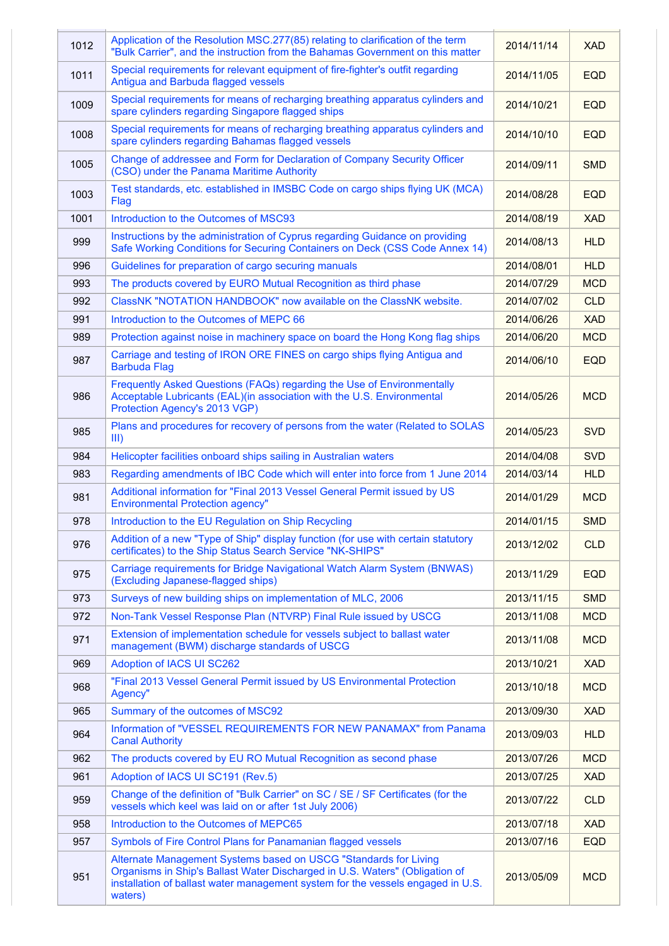| 1012 | Application of the Resolution MSC.277(85) relating to clarification of the term<br>"Bulk Carrier", and the instruction from the Bahamas Government on this matter                                                                             | 2014/11/14 | <b>XAD</b> |
|------|-----------------------------------------------------------------------------------------------------------------------------------------------------------------------------------------------------------------------------------------------|------------|------------|
| 1011 | Special requirements for relevant equipment of fire-fighter's outfit regarding<br>Antigua and Barbuda flagged vessels                                                                                                                         | 2014/11/05 | <b>EQD</b> |
| 1009 | Special requirements for means of recharging breathing apparatus cylinders and<br>spare cylinders regarding Singapore flagged ships                                                                                                           | 2014/10/21 | <b>EQD</b> |
| 1008 | Special requirements for means of recharging breathing apparatus cylinders and<br>spare cylinders regarding Bahamas flagged vessels                                                                                                           | 2014/10/10 | <b>EQD</b> |
| 1005 | Change of addressee and Form for Declaration of Company Security Officer<br>(CSO) under the Panama Maritime Authority                                                                                                                         | 2014/09/11 | <b>SMD</b> |
| 1003 | Test standards, etc. established in IMSBC Code on cargo ships flying UK (MCA)<br>Flag                                                                                                                                                         | 2014/08/28 | <b>EQD</b> |
| 1001 | Introduction to the Outcomes of MSC93                                                                                                                                                                                                         | 2014/08/19 | <b>XAD</b> |
| 999  | Instructions by the administration of Cyprus regarding Guidance on providing<br>Safe Working Conditions for Securing Containers on Deck (CSS Code Annex 14)                                                                                   | 2014/08/13 | <b>HLD</b> |
| 996  | Guidelines for preparation of cargo securing manuals                                                                                                                                                                                          | 2014/08/01 | <b>HLD</b> |
| 993  | The products covered by EURO Mutual Recognition as third phase                                                                                                                                                                                | 2014/07/29 | <b>MCD</b> |
| 992  | ClassNK "NOTATION HANDBOOK" now available on the ClassNK website.                                                                                                                                                                             | 2014/07/02 | <b>CLD</b> |
| 991  | Introduction to the Outcomes of MEPC 66                                                                                                                                                                                                       | 2014/06/26 | <b>XAD</b> |
| 989  | Protection against noise in machinery space on board the Hong Kong flag ships                                                                                                                                                                 | 2014/06/20 | <b>MCD</b> |
| 987  | Carriage and testing of IRON ORE FINES on cargo ships flying Antigua and<br><b>Barbuda Flag</b>                                                                                                                                               | 2014/06/10 | <b>EQD</b> |
| 986  | Frequently Asked Questions (FAQs) regarding the Use of Environmentally<br>Acceptable Lubricants (EAL)(in association with the U.S. Environmental<br>Protection Agency's 2013 VGP)                                                             | 2014/05/26 | <b>MCD</b> |
| 985  | Plans and procedures for recovery of persons from the water (Related to SOLAS<br>III)                                                                                                                                                         | 2014/05/23 | <b>SVD</b> |
| 984  | Helicopter facilities onboard ships sailing in Australian waters                                                                                                                                                                              | 2014/04/08 | <b>SVD</b> |
| 983  | Regarding amendments of IBC Code which will enter into force from 1 June 2014                                                                                                                                                                 | 2014/03/14 | <b>HLD</b> |
| 981  | Additional information for "Final 2013 Vessel General Permit issued by US<br><b>Environmental Protection agency"</b>                                                                                                                          | 2014/01/29 | <b>MCD</b> |
| 978  | Introduction to the EU Regulation on Ship Recycling                                                                                                                                                                                           | 2014/01/15 | <b>SMD</b> |
| 976  | Addition of a new "Type of Ship" display function (for use with certain statutory<br>certificates) to the Ship Status Search Service "NK-SHIPS"                                                                                               | 2013/12/02 | <b>CLD</b> |
| 975  | Carriage requirements for Bridge Navigational Watch Alarm System (BNWAS)<br>(Excluding Japanese-flagged ships)                                                                                                                                | 2013/11/29 | <b>EQD</b> |
| 973  | Surveys of new building ships on implementation of MLC, 2006                                                                                                                                                                                  | 2013/11/15 | <b>SMD</b> |
| 972  | Non-Tank Vessel Response Plan (NTVRP) Final Rule issued by USCG                                                                                                                                                                               | 2013/11/08 | <b>MCD</b> |
| 971  | Extension of implementation schedule for vessels subject to ballast water<br>management (BWM) discharge standards of USCG                                                                                                                     | 2013/11/08 | <b>MCD</b> |
| 969  | Adoption of IACS UI SC262                                                                                                                                                                                                                     | 2013/10/21 | <b>XAD</b> |
| 968  | "Final 2013 Vessel General Permit issued by US Environmental Protection<br>Agency"                                                                                                                                                            | 2013/10/18 | <b>MCD</b> |
| 965  | Summary of the outcomes of MSC92                                                                                                                                                                                                              | 2013/09/30 | <b>XAD</b> |
| 964  | Information of "VESSEL REQUIREMENTS FOR NEW PANAMAX" from Panama<br><b>Canal Authority</b>                                                                                                                                                    | 2013/09/03 | <b>HLD</b> |
| 962  | The products covered by EU RO Mutual Recognition as second phase                                                                                                                                                                              | 2013/07/26 | <b>MCD</b> |
| 961  | Adoption of IACS UI SC191 (Rev.5)                                                                                                                                                                                                             | 2013/07/25 | <b>XAD</b> |
| 959  | Change of the definition of "Bulk Carrier" on SC / SE / SF Certificates (for the<br>vessels which keel was laid on or after 1st July 2006)                                                                                                    | 2013/07/22 | <b>CLD</b> |
| 958  | Introduction to the Outcomes of MEPC65                                                                                                                                                                                                        | 2013/07/18 | <b>XAD</b> |
| 957  | Symbols of Fire Control Plans for Panamanian flagged vessels                                                                                                                                                                                  | 2013/07/16 | <b>EQD</b> |
| 951  | Alternate Management Systems based on USCG "Standards for Living<br>Organisms in Ship's Ballast Water Discharged in U.S. Waters" (Obligation of<br>installation of ballast water management system for the vessels engaged in U.S.<br>waters) | 2013/05/09 | <b>MCD</b> |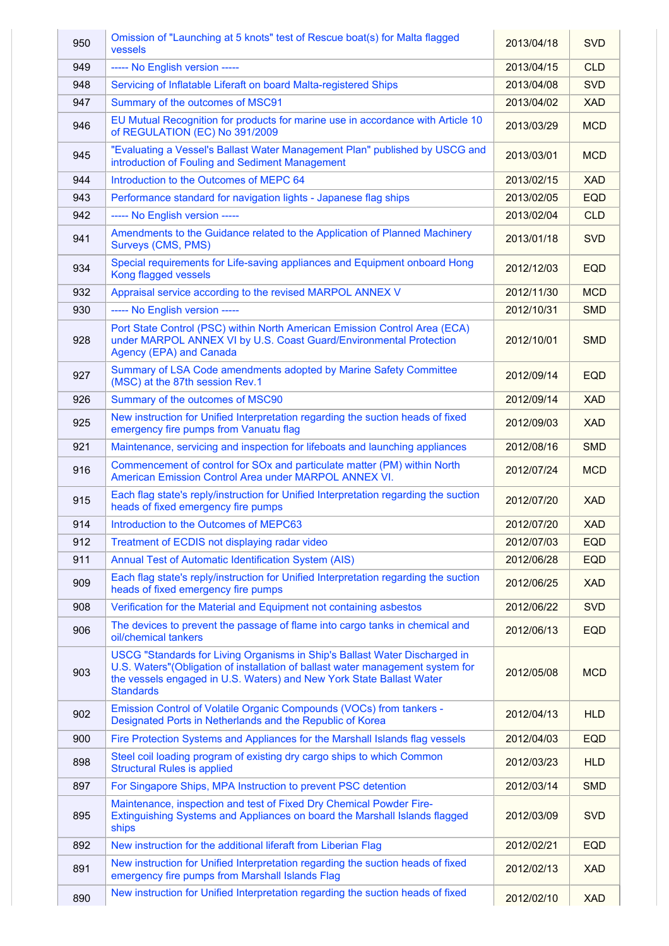| 950 | Omission of "Launching at 5 knots" test of Rescue boat(s) for Malta flagged<br>vessels                                                                                                                                                                    | 2013/04/18 | <b>SVD</b> |
|-----|-----------------------------------------------------------------------------------------------------------------------------------------------------------------------------------------------------------------------------------------------------------|------------|------------|
| 949 | ----- No English version -----                                                                                                                                                                                                                            | 2013/04/15 | <b>CLD</b> |
| 948 | Servicing of Inflatable Liferaft on board Malta-registered Ships                                                                                                                                                                                          | 2013/04/08 | <b>SVD</b> |
| 947 | Summary of the outcomes of MSC91                                                                                                                                                                                                                          | 2013/04/02 | <b>XAD</b> |
| 946 | EU Mutual Recognition for products for marine use in accordance with Article 10<br>of REGULATION (EC) No 391/2009                                                                                                                                         | 2013/03/29 | <b>MCD</b> |
| 945 | "Evaluating a Vessel's Ballast Water Management Plan" published by USCG and<br>introduction of Fouling and Sediment Management                                                                                                                            | 2013/03/01 | <b>MCD</b> |
| 944 | Introduction to the Outcomes of MEPC 64                                                                                                                                                                                                                   | 2013/02/15 | <b>XAD</b> |
| 943 | Performance standard for navigation lights - Japanese flag ships                                                                                                                                                                                          | 2013/02/05 | <b>EQD</b> |
| 942 | ----- No English version -----                                                                                                                                                                                                                            | 2013/02/04 | <b>CLD</b> |
| 941 | Amendments to the Guidance related to the Application of Planned Machinery<br>Surveys (CMS, PMS)                                                                                                                                                          | 2013/01/18 | <b>SVD</b> |
| 934 | Special requirements for Life-saving appliances and Equipment onboard Hong<br>Kong flagged vessels                                                                                                                                                        | 2012/12/03 | <b>EQD</b> |
| 932 | Appraisal service according to the revised MARPOL ANNEX V                                                                                                                                                                                                 | 2012/11/30 | <b>MCD</b> |
| 930 | ----- No English version -----                                                                                                                                                                                                                            | 2012/10/31 | <b>SMD</b> |
| 928 | Port State Control (PSC) within North American Emission Control Area (ECA)<br>under MARPOL ANNEX VI by U.S. Coast Guard/Environmental Protection<br><b>Agency (EPA) and Canada</b>                                                                        | 2012/10/01 | <b>SMD</b> |
| 927 | Summary of LSA Code amendments adopted by Marine Safety Committee<br>(MSC) at the 87th session Rev.1                                                                                                                                                      | 2012/09/14 | <b>EQD</b> |
| 926 | Summary of the outcomes of MSC90                                                                                                                                                                                                                          | 2012/09/14 | <b>XAD</b> |
| 925 | New instruction for Unified Interpretation regarding the suction heads of fixed<br>emergency fire pumps from Vanuatu flag                                                                                                                                 | 2012/09/03 | <b>XAD</b> |
| 921 | Maintenance, servicing and inspection for lifeboats and launching appliances                                                                                                                                                                              | 2012/08/16 | <b>SMD</b> |
| 916 | Commencement of control for SOx and particulate matter (PM) within North<br>American Emission Control Area under MARPOL ANNEX VI.                                                                                                                         | 2012/07/24 | <b>MCD</b> |
| 915 | Each flag state's reply/instruction for Unified Interpretation regarding the suction<br>heads of fixed emergency fire pumps                                                                                                                               | 2012/07/20 | <b>XAD</b> |
| 914 | Introduction to the Outcomes of MEPC63                                                                                                                                                                                                                    | 2012/07/20 | <b>XAD</b> |
| 912 | Treatment of ECDIS not displaying radar video                                                                                                                                                                                                             | 2012/07/03 | <b>EQD</b> |
| 911 | Annual Test of Automatic Identification System (AIS)                                                                                                                                                                                                      | 2012/06/28 | <b>EQD</b> |
| 909 | Each flag state's reply/instruction for Unified Interpretation regarding the suction<br>heads of fixed emergency fire pumps                                                                                                                               | 2012/06/25 | <b>XAD</b> |
| 908 | Verification for the Material and Equipment not containing asbestos                                                                                                                                                                                       | 2012/06/22 | <b>SVD</b> |
| 906 | The devices to prevent the passage of flame into cargo tanks in chemical and<br>oil/chemical tankers                                                                                                                                                      | 2012/06/13 | <b>EQD</b> |
| 903 | USCG "Standards for Living Organisms in Ship's Ballast Water Discharged in<br>U.S. Waters" (Obligation of installation of ballast water management system for<br>the vessels engaged in U.S. Waters) and New York State Ballast Water<br><b>Standards</b> | 2012/05/08 | <b>MCD</b> |
| 902 | Emission Control of Volatile Organic Compounds (VOCs) from tankers -<br>Designated Ports in Netherlands and the Republic of Korea                                                                                                                         | 2012/04/13 | <b>HLD</b> |
| 900 | Fire Protection Systems and Appliances for the Marshall Islands flag vessels                                                                                                                                                                              | 2012/04/03 | <b>EQD</b> |
| 898 | Steel coil loading program of existing dry cargo ships to which Common<br><b>Structural Rules is applied</b>                                                                                                                                              | 2012/03/23 | <b>HLD</b> |
| 897 | For Singapore Ships, MPA Instruction to prevent PSC detention                                                                                                                                                                                             | 2012/03/14 | <b>SMD</b> |
| 895 | Maintenance, inspection and test of Fixed Dry Chemical Powder Fire-<br>Extinguishing Systems and Appliances on board the Marshall Islands flagged<br>ships                                                                                                | 2012/03/09 | <b>SVD</b> |
| 892 | New instruction for the additional liferaft from Liberian Flag                                                                                                                                                                                            | 2012/02/21 | <b>EQD</b> |
| 891 | New instruction for Unified Interpretation regarding the suction heads of fixed<br>emergency fire pumps from Marshall Islands Flag                                                                                                                        | 2012/02/13 | <b>XAD</b> |
| 890 | New instruction for Unified Interpretation regarding the suction heads of fixed                                                                                                                                                                           | 2012/02/10 | <b>XAD</b> |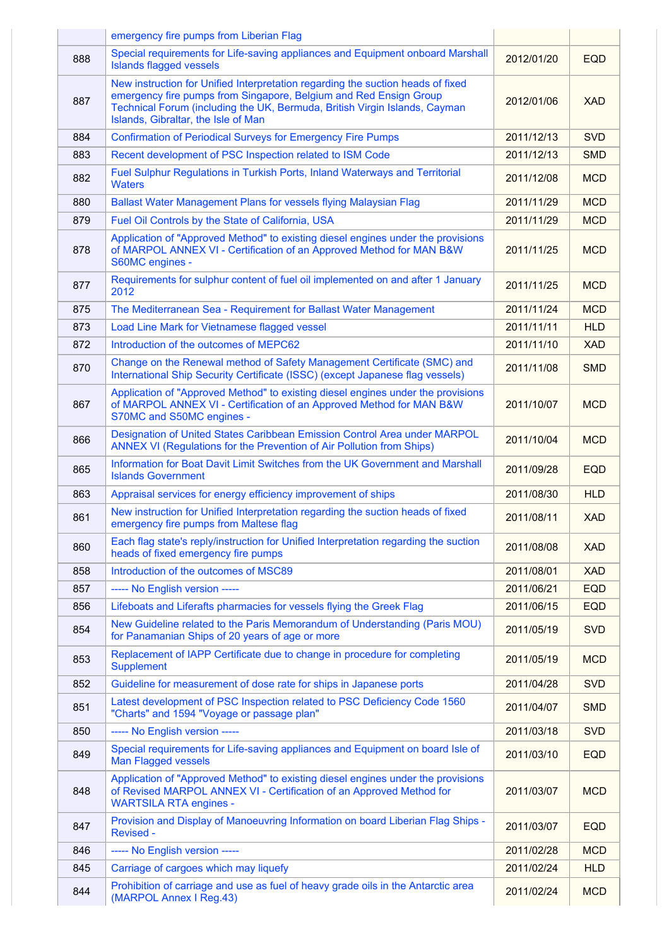|     | emergency fire pumps from Liberian Flag                                                                                                                                                                                                                                   |            |            |
|-----|---------------------------------------------------------------------------------------------------------------------------------------------------------------------------------------------------------------------------------------------------------------------------|------------|------------|
| 888 | Special requirements for Life-saving appliances and Equipment onboard Marshall<br><b>Islands flagged vessels</b>                                                                                                                                                          | 2012/01/20 | <b>EQD</b> |
| 887 | New instruction for Unified Interpretation regarding the suction heads of fixed<br>emergency fire pumps from Singapore, Belgium and Red Ensign Group<br>Technical Forum (including the UK, Bermuda, British Virgin Islands, Cayman<br>Islands, Gibraltar, the Isle of Man | 2012/01/06 | <b>XAD</b> |
| 884 | <b>Confirmation of Periodical Surveys for Emergency Fire Pumps</b>                                                                                                                                                                                                        | 2011/12/13 | <b>SVD</b> |
| 883 | Recent development of PSC Inspection related to ISM Code                                                                                                                                                                                                                  | 2011/12/13 | <b>SMD</b> |
| 882 | Fuel Sulphur Regulations in Turkish Ports, Inland Waterways and Territorial<br><b>Waters</b>                                                                                                                                                                              | 2011/12/08 | <b>MCD</b> |
| 880 | Ballast Water Management Plans for vessels flying Malaysian Flag                                                                                                                                                                                                          | 2011/11/29 | <b>MCD</b> |
| 879 | Fuel Oil Controls by the State of California, USA                                                                                                                                                                                                                         | 2011/11/29 | <b>MCD</b> |
| 878 | Application of "Approved Method" to existing diesel engines under the provisions<br>of MARPOL ANNEX VI - Certification of an Approved Method for MAN B&W<br>S60MC engines -                                                                                               | 2011/11/25 | <b>MCD</b> |
| 877 | Requirements for sulphur content of fuel oil implemented on and after 1 January<br>2012                                                                                                                                                                                   | 2011/11/25 | <b>MCD</b> |
| 875 | The Mediterranean Sea - Requirement for Ballast Water Management                                                                                                                                                                                                          | 2011/11/24 | <b>MCD</b> |
| 873 | Load Line Mark for Vietnamese flagged vessel                                                                                                                                                                                                                              | 2011/11/11 | <b>HLD</b> |
| 872 | Introduction of the outcomes of MEPC62                                                                                                                                                                                                                                    | 2011/11/10 | <b>XAD</b> |
| 870 | Change on the Renewal method of Safety Management Certificate (SMC) and<br>International Ship Security Certificate (ISSC) (except Japanese flag vessels)                                                                                                                  | 2011/11/08 | <b>SMD</b> |
| 867 | Application of "Approved Method" to existing diesel engines under the provisions<br>of MARPOL ANNEX VI - Certification of an Approved Method for MAN B&W<br>S70MC and S50MC engines -                                                                                     | 2011/10/07 | <b>MCD</b> |
| 866 | Designation of United States Caribbean Emission Control Area under MARPOL<br>ANNEX VI (Regulations for the Prevention of Air Pollution from Ships)                                                                                                                        | 2011/10/04 | <b>MCD</b> |
| 865 | Information for Boat Davit Limit Switches from the UK Government and Marshall<br><b>Islands Government</b>                                                                                                                                                                | 2011/09/28 | <b>EQD</b> |
| 863 | Appraisal services for energy efficiency improvement of ships                                                                                                                                                                                                             | 2011/08/30 | <b>HLD</b> |
| 861 | New instruction for Unified Interpretation regarding the suction heads of fixed<br>emergency fire pumps from Maltese flag                                                                                                                                                 | 2011/08/11 | <b>XAD</b> |
| 860 | Each flag state's reply/instruction for Unified Interpretation regarding the suction<br>heads of fixed emergency fire pumps                                                                                                                                               | 2011/08/08 | <b>XAD</b> |
| 858 | Introduction of the outcomes of MSC89                                                                                                                                                                                                                                     | 2011/08/01 | <b>XAD</b> |
| 857 | ----- No English version -----                                                                                                                                                                                                                                            | 2011/06/21 | <b>EQD</b> |
| 856 | Lifeboats and Liferafts pharmacies for vessels flying the Greek Flag                                                                                                                                                                                                      | 2011/06/15 | <b>EQD</b> |
| 854 | New Guideline related to the Paris Memorandum of Understanding (Paris MOU)<br>for Panamanian Ships of 20 years of age or more                                                                                                                                             | 2011/05/19 | <b>SVD</b> |
| 853 | Replacement of IAPP Certificate due to change in procedure for completing<br>Supplement                                                                                                                                                                                   | 2011/05/19 | <b>MCD</b> |
| 852 | Guideline for measurement of dose rate for ships in Japanese ports                                                                                                                                                                                                        | 2011/04/28 | <b>SVD</b> |
| 851 | Latest development of PSC Inspection related to PSC Deficiency Code 1560<br>"Charts" and 1594 "Voyage or passage plan"                                                                                                                                                    | 2011/04/07 | <b>SMD</b> |
| 850 | ----- No English version -----                                                                                                                                                                                                                                            | 2011/03/18 | <b>SVD</b> |
| 849 | Special requirements for Life-saving appliances and Equipment on board Isle of<br><b>Man Flagged vessels</b>                                                                                                                                                              | 2011/03/10 | <b>EQD</b> |
| 848 | Application of "Approved Method" to existing diesel engines under the provisions<br>of Revised MARPOL ANNEX VI - Certification of an Approved Method for<br><b>WARTSILA RTA engines -</b>                                                                                 | 2011/03/07 | <b>MCD</b> |
| 847 | Provision and Display of Manoeuvring Information on board Liberian Flag Ships -<br><b>Revised -</b>                                                                                                                                                                       | 2011/03/07 | <b>EQD</b> |
| 846 | ----- No English version -----                                                                                                                                                                                                                                            | 2011/02/28 | <b>MCD</b> |
| 845 | Carriage of cargoes which may liquefy                                                                                                                                                                                                                                     | 2011/02/24 | <b>HLD</b> |
| 844 | Prohibition of carriage and use as fuel of heavy grade oils in the Antarctic area<br>(MARPOL Annex I Reg.43)                                                                                                                                                              | 2011/02/24 | <b>MCD</b> |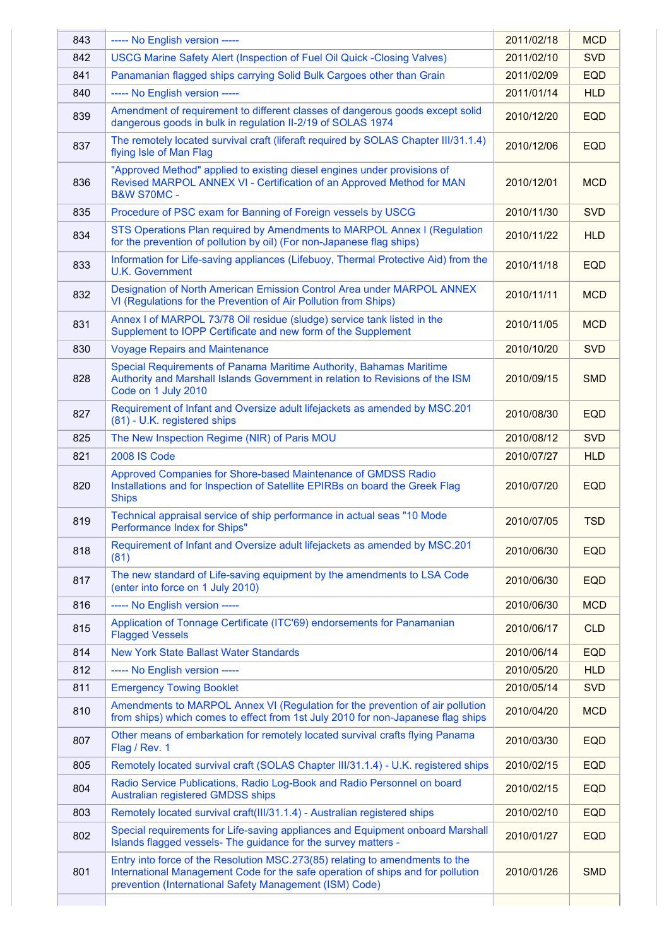| 843 | ----- No English version -----                                                                                                                                                                                             | 2011/02/18 | <b>MCD</b> |
|-----|----------------------------------------------------------------------------------------------------------------------------------------------------------------------------------------------------------------------------|------------|------------|
| 842 | <b>USCG Marine Safety Alert (Inspection of Fuel Oil Quick -Closing Valves)</b>                                                                                                                                             | 2011/02/10 | <b>SVD</b> |
| 841 | Panamanian flagged ships carrying Solid Bulk Cargoes other than Grain                                                                                                                                                      | 2011/02/09 | <b>EQD</b> |
| 840 | ----- No English version -----                                                                                                                                                                                             | 2011/01/14 | <b>HLD</b> |
| 839 | Amendment of requirement to different classes of dangerous goods except solid<br>dangerous goods in bulk in regulation II-2/19 of SOLAS 1974                                                                               | 2010/12/20 | <b>EQD</b> |
| 837 | The remotely located survival craft (liferaft required by SOLAS Chapter III/31.1.4)<br>flying Isle of Man Flag                                                                                                             | 2010/12/06 | <b>EQD</b> |
| 836 | "Approved Method" applied to existing diesel engines under provisions of<br>Revised MARPOL ANNEX VI - Certification of an Approved Method for MAN<br><b>B&amp;W S70MC -</b>                                                | 2010/12/01 | <b>MCD</b> |
| 835 | Procedure of PSC exam for Banning of Foreign vessels by USCG                                                                                                                                                               | 2010/11/30 | <b>SVD</b> |
| 834 | STS Operations Plan required by Amendments to MARPOL Annex I (Regulation<br>for the prevention of pollution by oil) (For non-Japanese flag ships)                                                                          | 2010/11/22 | <b>HLD</b> |
| 833 | Information for Life-saving appliances (Lifebuoy, Thermal Protective Aid) from the<br><b>U.K. Government</b>                                                                                                               | 2010/11/18 | <b>EQD</b> |
| 832 | Designation of North American Emission Control Area under MARPOL ANNEX<br>VI (Regulations for the Prevention of Air Pollution from Ships)                                                                                  | 2010/11/11 | <b>MCD</b> |
| 831 | Annex I of MARPOL 73/78 Oil residue (sludge) service tank listed in the<br>Supplement to IOPP Certificate and new form of the Supplement                                                                                   | 2010/11/05 | <b>MCD</b> |
| 830 | <b>Voyage Repairs and Maintenance</b>                                                                                                                                                                                      | 2010/10/20 | <b>SVD</b> |
| 828 | Special Requirements of Panama Maritime Authority, Bahamas Maritime<br>Authority and Marshall Islands Government in relation to Revisions of the ISM<br>Code on 1 July 2010                                                | 2010/09/15 | <b>SMD</b> |
| 827 | Requirement of Infant and Oversize adult lifejackets as amended by MSC.201<br>(81) - U.K. registered ships                                                                                                                 | 2010/08/30 | <b>EQD</b> |
| 825 | The New Inspection Regime (NIR) of Paris MOU                                                                                                                                                                               | 2010/08/12 | <b>SVD</b> |
| 821 | 2008 IS Code                                                                                                                                                                                                               | 2010/07/27 | <b>HLD</b> |
| 820 | Approved Companies for Shore-based Maintenance of GMDSS Radio<br>Installations and for Inspection of Satellite EPIRBs on board the Greek Flag<br><b>Ships</b>                                                              | 2010/07/20 | <b>EQD</b> |
| 819 | Technical appraisal service of ship performance in actual seas "10 Mode<br>Performance Index for Ships"                                                                                                                    | 2010/07/05 | <b>TSD</b> |
| 818 | Requirement of Infant and Oversize adult lifejackets as amended by MSC.201<br>(81)                                                                                                                                         | 2010/06/30 | <b>EQD</b> |
| 817 | The new standard of Life-saving equipment by the amendments to LSA Code<br>(enter into force on 1 July 2010)                                                                                                               | 2010/06/30 | <b>EQD</b> |
| 816 | ----- No English version -----                                                                                                                                                                                             | 2010/06/30 | <b>MCD</b> |
| 815 | Application of Tonnage Certificate (ITC'69) endorsements for Panamanian<br><b>Flagged Vessels</b>                                                                                                                          | 2010/06/17 | <b>CLD</b> |
| 814 | <b>New York State Ballast Water Standards</b>                                                                                                                                                                              | 2010/06/14 | <b>EQD</b> |
| 812 | ----- No English version -----                                                                                                                                                                                             | 2010/05/20 | <b>HLD</b> |
| 811 | <b>Emergency Towing Booklet</b>                                                                                                                                                                                            | 2010/05/14 | <b>SVD</b> |
| 810 | Amendments to MARPOL Annex VI (Regulation for the prevention of air pollution<br>from ships) which comes to effect from 1st July 2010 for non-Japanese flag ships                                                          | 2010/04/20 | <b>MCD</b> |
| 807 | Other means of embarkation for remotely located survival crafts flying Panama<br>Flag / Rev. 1                                                                                                                             | 2010/03/30 | <b>EQD</b> |
| 805 | Remotely located survival craft (SOLAS Chapter III/31.1.4) - U.K. registered ships                                                                                                                                         | 2010/02/15 | <b>EQD</b> |
| 804 | Radio Service Publications, Radio Log-Book and Radio Personnel on board<br><b>Australian registered GMDSS ships</b>                                                                                                        | 2010/02/15 | <b>EQD</b> |
| 803 | Remotely located survival craft(III/31.1.4) - Australian registered ships                                                                                                                                                  | 2010/02/10 | <b>EQD</b> |
|     |                                                                                                                                                                                                                            |            |            |
| 802 | Special requirements for Life-saving appliances and Equipment onboard Marshall<br>Islands flagged vessels- The guidance for the survey matters -                                                                           | 2010/01/27 | <b>EQD</b> |
| 801 | Entry into force of the Resolution MSC.273(85) relating to amendments to the<br>International Management Code for the safe operation of ships and for pollution<br>prevention (International Safety Management (ISM) Code) | 2010/01/26 | <b>SMD</b> |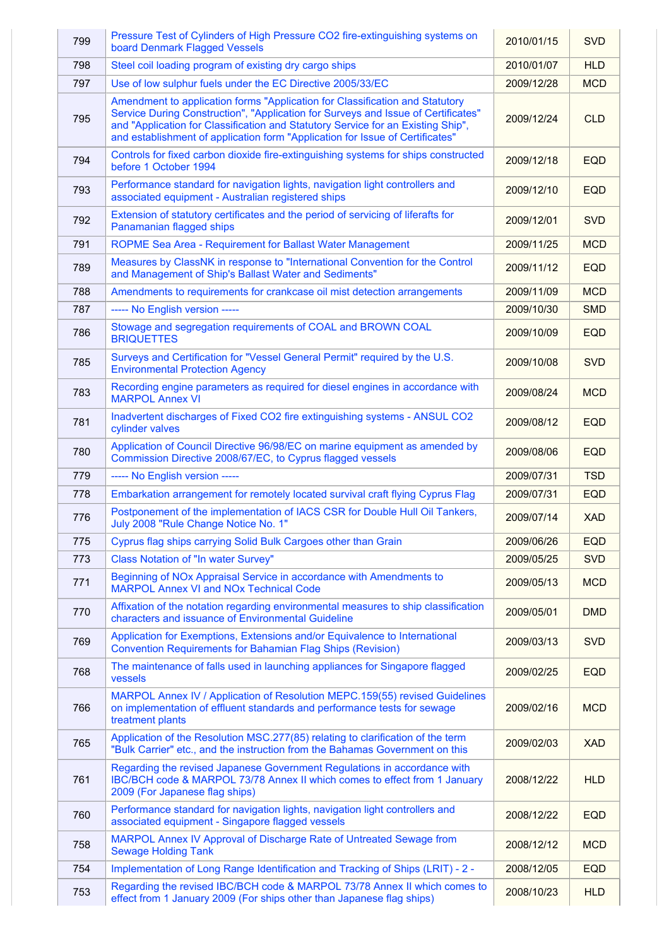| 799 | Pressure Test of Cylinders of High Pressure CO2 fire-extinguishing systems on<br>board Denmark Flagged Vessels                                                                                                                                                                                                                         | 2010/01/15 | <b>SVD</b> |
|-----|----------------------------------------------------------------------------------------------------------------------------------------------------------------------------------------------------------------------------------------------------------------------------------------------------------------------------------------|------------|------------|
| 798 | Steel coil loading program of existing dry cargo ships                                                                                                                                                                                                                                                                                 | 2010/01/07 | <b>HLD</b> |
| 797 | Use of low sulphur fuels under the EC Directive 2005/33/EC                                                                                                                                                                                                                                                                             | 2009/12/28 | <b>MCD</b> |
| 795 | Amendment to application forms "Application for Classification and Statutory<br>Service During Construction", "Application for Surveys and Issue of Certificates"<br>and "Application for Classification and Statutory Service for an Existing Ship",<br>and establishment of application form "Application for Issue of Certificates" | 2009/12/24 | <b>CLD</b> |
| 794 | Controls for fixed carbon dioxide fire-extinguishing systems for ships constructed<br>before 1 October 1994                                                                                                                                                                                                                            | 2009/12/18 | <b>EQD</b> |
| 793 | Performance standard for navigation lights, navigation light controllers and<br>associated equipment - Australian registered ships                                                                                                                                                                                                     | 2009/12/10 | <b>EQD</b> |
| 792 | Extension of statutory certificates and the period of servicing of liferafts for<br>Panamanian flagged ships                                                                                                                                                                                                                           | 2009/12/01 | <b>SVD</b> |
| 791 | ROPME Sea Area - Requirement for Ballast Water Management                                                                                                                                                                                                                                                                              | 2009/11/25 | <b>MCD</b> |
| 789 | Measures by ClassNK in response to "International Convention for the Control<br>and Management of Ship's Ballast Water and Sediments"                                                                                                                                                                                                  | 2009/11/12 | <b>EQD</b> |
| 788 | Amendments to requirements for crankcase oil mist detection arrangements                                                                                                                                                                                                                                                               | 2009/11/09 | <b>MCD</b> |
| 787 | ----- No English version -----                                                                                                                                                                                                                                                                                                         | 2009/10/30 | <b>SMD</b> |
| 786 | Stowage and segregation requirements of COAL and BROWN COAL<br><b>BRIQUETTES</b>                                                                                                                                                                                                                                                       | 2009/10/09 | <b>EQD</b> |
| 785 | Surveys and Certification for "Vessel General Permit" required by the U.S.<br><b>Environmental Protection Agency</b>                                                                                                                                                                                                                   | 2009/10/08 | <b>SVD</b> |
| 783 | Recording engine parameters as required for diesel engines in accordance with<br><b>MARPOL Annex VI</b>                                                                                                                                                                                                                                | 2009/08/24 | <b>MCD</b> |
| 781 | Inadvertent discharges of Fixed CO2 fire extinguishing systems - ANSUL CO2<br>cylinder valves                                                                                                                                                                                                                                          | 2009/08/12 | <b>EQD</b> |
| 780 | Application of Council Directive 96/98/EC on marine equipment as amended by<br>Commission Directive 2008/67/EC, to Cyprus flagged vessels                                                                                                                                                                                              | 2009/08/06 | <b>EQD</b> |
| 779 | ----- No English version -----                                                                                                                                                                                                                                                                                                         | 2009/07/31 | <b>TSD</b> |
| 778 | Embarkation arrangement for remotely located survival craft flying Cyprus Flag                                                                                                                                                                                                                                                         | 2009/07/31 | <b>EQD</b> |
| 776 | Postponement of the implementation of IACS CSR for Double Hull Oil Tankers,<br>July 2008 "Rule Change Notice No. 1"                                                                                                                                                                                                                    | 2009/07/14 | <b>XAD</b> |
| 775 | Cyprus flag ships carrying Solid Bulk Cargoes other than Grain                                                                                                                                                                                                                                                                         | 2009/06/26 | <b>EQD</b> |
| 773 | <b>Class Notation of "In water Survey"</b>                                                                                                                                                                                                                                                                                             | 2009/05/25 | <b>SVD</b> |
| 771 | Beginning of NOx Appraisal Service in accordance with Amendments to<br><b>MARPOL Annex VI and NOx Technical Code</b>                                                                                                                                                                                                                   | 2009/05/13 | <b>MCD</b> |
| 770 | Affixation of the notation regarding environmental measures to ship classification<br>characters and issuance of Environmental Guideline                                                                                                                                                                                               | 2009/05/01 | <b>DMD</b> |
| 769 | Application for Exemptions, Extensions and/or Equivalence to International<br><b>Convention Requirements for Bahamian Flag Ships (Revision)</b>                                                                                                                                                                                        | 2009/03/13 | <b>SVD</b> |
| 768 | The maintenance of falls used in launching appliances for Singapore flagged<br>vessels                                                                                                                                                                                                                                                 | 2009/02/25 | <b>EQD</b> |
| 766 | MARPOL Annex IV / Application of Resolution MEPC.159(55) revised Guidelines<br>on implementation of effluent standards and performance tests for sewage<br>treatment plants                                                                                                                                                            | 2009/02/16 | <b>MCD</b> |
| 765 | Application of the Resolution MSC.277(85) relating to clarification of the term<br>"Bulk Carrier" etc., and the instruction from the Bahamas Government on this                                                                                                                                                                        | 2009/02/03 | <b>XAD</b> |
| 761 | Regarding the revised Japanese Government Regulations in accordance with<br>IBC/BCH code & MARPOL 73/78 Annex II which comes to effect from 1 January<br>2009 (For Japanese flag ships)                                                                                                                                                | 2008/12/22 | <b>HLD</b> |
| 760 | Performance standard for navigation lights, navigation light controllers and<br>associated equipment - Singapore flagged vessels                                                                                                                                                                                                       | 2008/12/22 | <b>EQD</b> |
| 758 | MARPOL Annex IV Approval of Discharge Rate of Untreated Sewage from<br><b>Sewage Holding Tank</b>                                                                                                                                                                                                                                      | 2008/12/12 | <b>MCD</b> |
|     |                                                                                                                                                                                                                                                                                                                                        |            |            |
| 754 | Implementation of Long Range Identification and Tracking of Ships (LRIT) - 2 -                                                                                                                                                                                                                                                         | 2008/12/05 | <b>EQD</b> |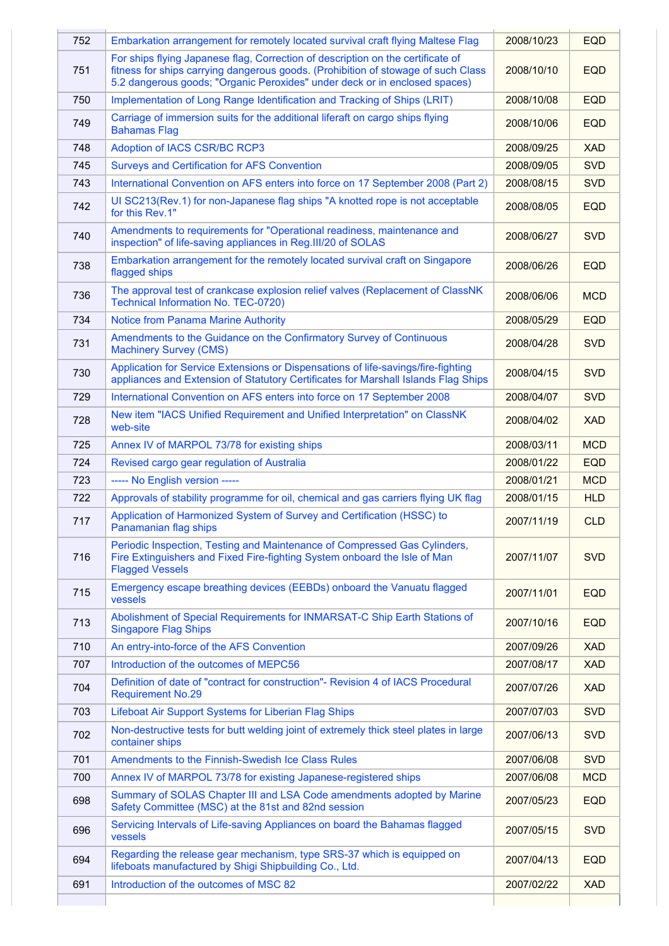| 752 | Embarkation arrangement for remotely located survival craft flying Maltese Flag                                                                                                                                                                    | 2008/10/23 | <b>EQD</b> |
|-----|----------------------------------------------------------------------------------------------------------------------------------------------------------------------------------------------------------------------------------------------------|------------|------------|
| 751 | For ships flying Japanese flag, Correction of description on the certificate of<br>fitness for ships carrying dangerous goods. (Prohibition of stowage of such Class<br>5.2 dangerous goods; "Organic Peroxides" under deck or in enclosed spaces) | 2008/10/10 | <b>EQD</b> |
| 750 | Implementation of Long Range Identification and Tracking of Ships (LRIT)                                                                                                                                                                           | 2008/10/08 | <b>EQD</b> |
| 749 | Carriage of immersion suits for the additional liferaft on cargo ships flying<br><b>Bahamas Flag</b>                                                                                                                                               | 2008/10/06 | <b>EQD</b> |
| 748 | <b>Adoption of IACS CSR/BC RCP3</b>                                                                                                                                                                                                                | 2008/09/25 | <b>XAD</b> |
| 745 | <b>Surveys and Certification for AFS Convention</b>                                                                                                                                                                                                | 2008/09/05 | <b>SVD</b> |
| 743 | International Convention on AFS enters into force on 17 September 2008 (Part 2)                                                                                                                                                                    | 2008/08/15 | <b>SVD</b> |
| 742 | UI SC213(Rev.1) for non-Japanese flag ships "A knotted rope is not acceptable<br>for this Rev.1"                                                                                                                                                   | 2008/08/05 | <b>EQD</b> |
| 740 | Amendments to requirements for "Operational readiness, maintenance and<br>inspection" of life-saving appliances in Reg. III/20 of SOLAS                                                                                                            | 2008/06/27 | <b>SVD</b> |
| 738 | Embarkation arrangement for the remotely located survival craft on Singapore<br>flagged ships                                                                                                                                                      | 2008/06/26 | <b>EQD</b> |
| 736 | The approval test of crankcase explosion relief valves (Replacement of ClassNK<br><b>Technical Information No. TEC-0720)</b>                                                                                                                       | 2008/06/06 | <b>MCD</b> |
| 734 | <b>Notice from Panama Marine Authority</b>                                                                                                                                                                                                         | 2008/05/29 | <b>EQD</b> |
| 731 | Amendments to the Guidance on the Confirmatory Survey of Continuous<br><b>Machinery Survey (CMS)</b>                                                                                                                                               | 2008/04/28 | <b>SVD</b> |
| 730 | Application for Service Extensions or Dispensations of life-savings/fire-fighting<br>appliances and Extension of Statutory Certificates for Marshall Islands Flag Ships                                                                            | 2008/04/15 | <b>SVD</b> |
| 729 | International Convention on AFS enters into force on 17 September 2008                                                                                                                                                                             | 2008/04/07 | <b>SVD</b> |
| 728 | New item "IACS Unified Requirement and Unified Interpretation" on ClassNK<br>web-site                                                                                                                                                              | 2008/04/02 | <b>XAD</b> |
| 725 | Annex IV of MARPOL 73/78 for existing ships                                                                                                                                                                                                        | 2008/03/11 | <b>MCD</b> |
| 724 | Revised cargo gear regulation of Australia                                                                                                                                                                                                         | 2008/01/22 | <b>EQD</b> |
| 723 | ----- No English version -----                                                                                                                                                                                                                     | 2008/01/21 | <b>MCD</b> |
| 722 | Approvals of stability programme for oil, chemical and gas carriers flying UK flag                                                                                                                                                                 | 2008/01/15 | <b>HLD</b> |
| 717 | Application of Harmonized System of Survey and Certification (HSSC) to<br>Panamanian flag ships                                                                                                                                                    | 2007/11/19 | <b>CLD</b> |
| 716 | Periodic Inspection, Testing and Maintenance of Compressed Gas Cylinders,<br>Fire Extinguishers and Fixed Fire-fighting System onboard the Isle of Man<br><b>Flagged Vessels</b>                                                                   | 2007/11/07 | <b>SVD</b> |
| 715 | Emergency escape breathing devices (EEBDs) onboard the Vanuatu flagged<br>vessels                                                                                                                                                                  | 2007/11/01 | <b>EQD</b> |
| 713 | Abolishment of Special Requirements for INMARSAT-C Ship Earth Stations of<br><b>Singapore Flag Ships</b>                                                                                                                                           | 2007/10/16 | <b>EQD</b> |
| 710 | An entry-into-force of the AFS Convention                                                                                                                                                                                                          | 2007/09/26 | <b>XAD</b> |
| 707 | Introduction of the outcomes of MEPC56                                                                                                                                                                                                             | 2007/08/17 | <b>XAD</b> |
| 704 | Definition of date of "contract for construction"- Revision 4 of IACS Procedural<br><b>Requirement No.29</b>                                                                                                                                       | 2007/07/26 | <b>XAD</b> |
| 703 | Lifeboat Air Support Systems for Liberian Flag Ships                                                                                                                                                                                               | 2007/07/03 | <b>SVD</b> |
| 702 | Non-destructive tests for butt welding joint of extremely thick steel plates in large<br>container ships                                                                                                                                           | 2007/06/13 | <b>SVD</b> |
| 701 | Amendments to the Finnish-Swedish Ice Class Rules                                                                                                                                                                                                  | 2007/06/08 | <b>SVD</b> |
| 700 | Annex IV of MARPOL 73/78 for existing Japanese-registered ships                                                                                                                                                                                    | 2007/06/08 | <b>MCD</b> |
| 698 | Summary of SOLAS Chapter III and LSA Code amendments adopted by Marine<br>Safety Committee (MSC) at the 81st and 82nd session                                                                                                                      | 2007/05/23 | <b>EQD</b> |
| 696 | Servicing Intervals of Life-saving Appliances on board the Bahamas flagged<br>vessels                                                                                                                                                              | 2007/05/15 | <b>SVD</b> |
| 694 | Regarding the release gear mechanism, type SRS-37 which is equipped on<br>lifeboats manufactured by Shigi Shipbuilding Co., Ltd.                                                                                                                   | 2007/04/13 | <b>EQD</b> |
| 691 | Introduction of the outcomes of MSC 82                                                                                                                                                                                                             | 2007/02/22 | <b>XAD</b> |
|     |                                                                                                                                                                                                                                                    |            |            |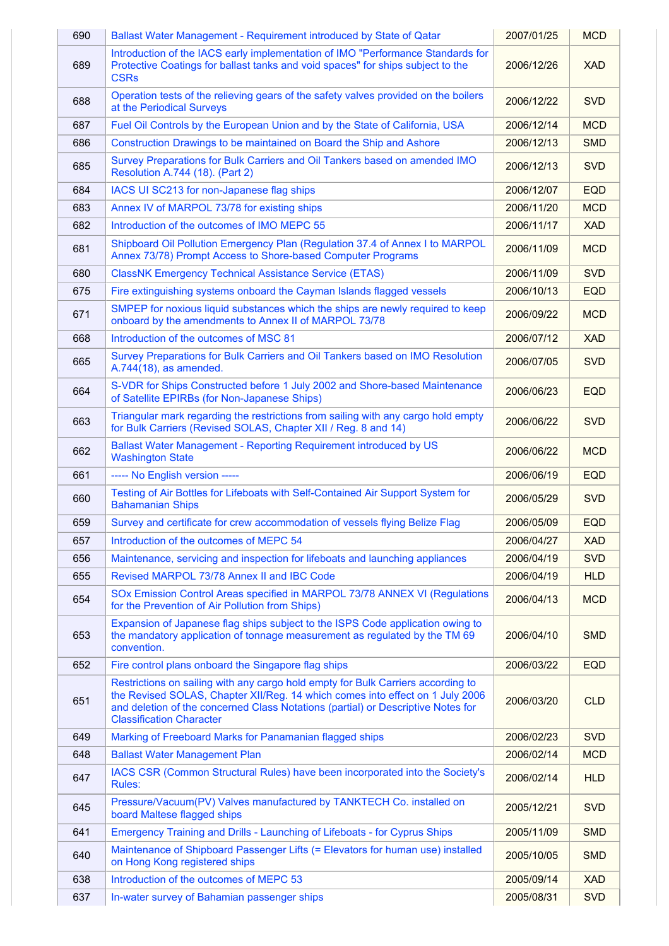| 690 | Ballast Water Management - Requirement introduced by State of Qatar                                                                                                                                                                                                                      | 2007/01/25 | <b>MCD</b> |
|-----|------------------------------------------------------------------------------------------------------------------------------------------------------------------------------------------------------------------------------------------------------------------------------------------|------------|------------|
| 689 | Introduction of the IACS early implementation of IMO "Performance Standards for<br>Protective Coatings for ballast tanks and void spaces" for ships subject to the<br><b>CSRs</b>                                                                                                        | 2006/12/26 | <b>XAD</b> |
| 688 | Operation tests of the relieving gears of the safety valves provided on the boilers<br>at the Periodical Surveys                                                                                                                                                                         | 2006/12/22 | <b>SVD</b> |
| 687 | Fuel Oil Controls by the European Union and by the State of California, USA                                                                                                                                                                                                              | 2006/12/14 | <b>MCD</b> |
| 686 | Construction Drawings to be maintained on Board the Ship and Ashore                                                                                                                                                                                                                      | 2006/12/13 | <b>SMD</b> |
| 685 | Survey Preparations for Bulk Carriers and Oil Tankers based on amended IMO<br>Resolution A.744 (18). (Part 2)                                                                                                                                                                            | 2006/12/13 | <b>SVD</b> |
| 684 | IACS UI SC213 for non-Japanese flag ships                                                                                                                                                                                                                                                | 2006/12/07 | <b>EQD</b> |
| 683 | Annex IV of MARPOL 73/78 for existing ships                                                                                                                                                                                                                                              | 2006/11/20 | <b>MCD</b> |
| 682 | Introduction of the outcomes of IMO MEPC 55                                                                                                                                                                                                                                              | 2006/11/17 | <b>XAD</b> |
| 681 | Shipboard Oil Pollution Emergency Plan (Regulation 37.4 of Annex I to MARPOL<br>Annex 73/78) Prompt Access to Shore-based Computer Programs                                                                                                                                              | 2006/11/09 | <b>MCD</b> |
| 680 | <b>ClassNK Emergency Technical Assistance Service (ETAS)</b>                                                                                                                                                                                                                             | 2006/11/09 | <b>SVD</b> |
| 675 | Fire extinguishing systems onboard the Cayman Islands flagged vessels                                                                                                                                                                                                                    | 2006/10/13 | <b>EQD</b> |
| 671 | SMPEP for noxious liquid substances which the ships are newly required to keep<br>onboard by the amendments to Annex II of MARPOL 73/78                                                                                                                                                  | 2006/09/22 | <b>MCD</b> |
| 668 | Introduction of the outcomes of MSC 81                                                                                                                                                                                                                                                   | 2006/07/12 | <b>XAD</b> |
| 665 | Survey Preparations for Bulk Carriers and Oil Tankers based on IMO Resolution<br>A.744(18), as amended.                                                                                                                                                                                  | 2006/07/05 | <b>SVD</b> |
| 664 | S-VDR for Ships Constructed before 1 July 2002 and Shore-based Maintenance<br>of Satellite EPIRBs (for Non-Japanese Ships)                                                                                                                                                               | 2006/06/23 | <b>EQD</b> |
| 663 | Triangular mark regarding the restrictions from sailing with any cargo hold empty<br>for Bulk Carriers (Revised SOLAS, Chapter XII / Reg. 8 and 14)                                                                                                                                      | 2006/06/22 | <b>SVD</b> |
| 662 | Ballast Water Management - Reporting Requirement introduced by US<br><b>Washington State</b>                                                                                                                                                                                             | 2006/06/22 | <b>MCD</b> |
| 661 | ----- No English version -----                                                                                                                                                                                                                                                           | 2006/06/19 | <b>EQD</b> |
| 660 | Testing of Air Bottles for Lifeboats with Self-Contained Air Support System for<br><b>Bahamanian Ships</b>                                                                                                                                                                               | 2006/05/29 | <b>SVD</b> |
| 659 | Survey and certificate for crew accommodation of vessels flying Belize Flag                                                                                                                                                                                                              | 2006/05/09 | <b>EQD</b> |
| 657 | Introduction of the outcomes of MEPC 54                                                                                                                                                                                                                                                  | 2006/04/27 | <b>XAD</b> |
| 656 | Maintenance, servicing and inspection for lifeboats and launching appliances                                                                                                                                                                                                             | 2006/04/19 | <b>SVD</b> |
| 655 | Revised MARPOL 73/78 Annex II and IBC Code                                                                                                                                                                                                                                               | 2006/04/19 | <b>HLD</b> |
| 654 | SOx Emission Control Areas specified in MARPOL 73/78 ANNEX VI (Regulations<br>for the Prevention of Air Pollution from Ships)                                                                                                                                                            | 2006/04/13 | <b>MCD</b> |
| 653 | Expansion of Japanese flag ships subject to the ISPS Code application owing to<br>the mandatory application of tonnage measurement as regulated by the TM 69<br>convention.                                                                                                              | 2006/04/10 | <b>SMD</b> |
| 652 |                                                                                                                                                                                                                                                                                          |            |            |
|     | Fire control plans onboard the Singapore flag ships                                                                                                                                                                                                                                      | 2006/03/22 | <b>EQD</b> |
| 651 | Restrictions on sailing with any cargo hold empty for Bulk Carriers according to<br>the Revised SOLAS, Chapter XII/Reg. 14 which comes into effect on 1 July 2006<br>and deletion of the concerned Class Notations (partial) or Descriptive Notes for<br><b>Classification Character</b> | 2006/03/20 | <b>CLD</b> |
| 649 | Marking of Freeboard Marks for Panamanian flagged ships                                                                                                                                                                                                                                  | 2006/02/23 | <b>SVD</b> |
| 648 | <b>Ballast Water Management Plan</b>                                                                                                                                                                                                                                                     | 2006/02/14 | <b>MCD</b> |
| 647 | IACS CSR (Common Structural Rules) have been incorporated into the Society's<br>Rules:                                                                                                                                                                                                   | 2006/02/14 | <b>HLD</b> |
| 645 | Pressure/Vacuum(PV) Valves manufactured by TANKTECH Co. installed on<br>board Maltese flagged ships                                                                                                                                                                                      | 2005/12/21 | <b>SVD</b> |
| 641 | Emergency Training and Drills - Launching of Lifeboats - for Cyprus Ships                                                                                                                                                                                                                | 2005/11/09 | <b>SMD</b> |
| 640 | Maintenance of Shipboard Passenger Lifts (= Elevators for human use) installed<br>on Hong Kong registered ships                                                                                                                                                                          | 2005/10/05 | <b>SMD</b> |
| 638 | Introduction of the outcomes of MEPC 53                                                                                                                                                                                                                                                  | 2005/09/14 | <b>XAD</b> |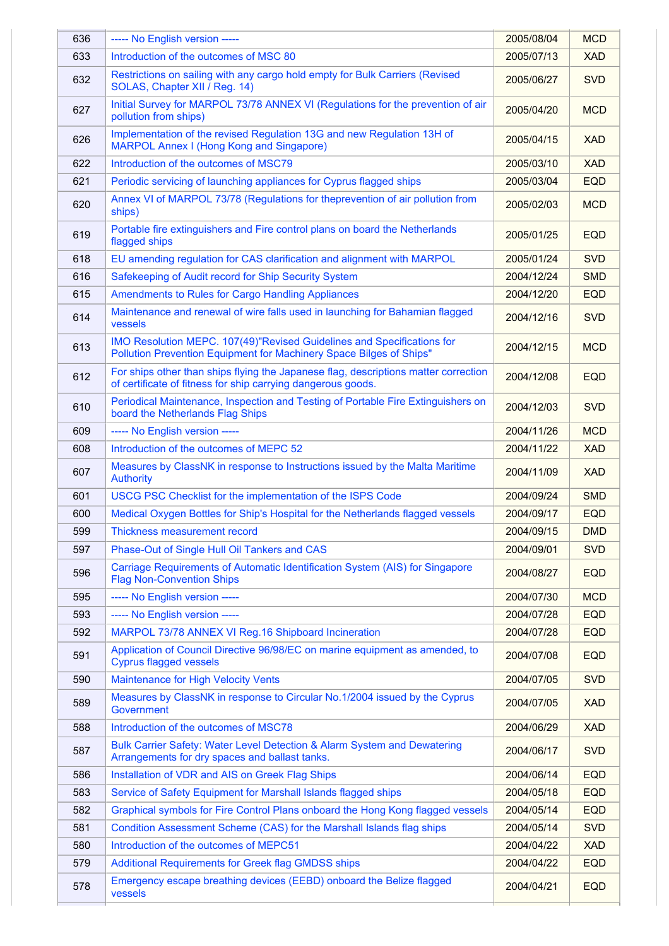| 636 | ----- No English version -----                                                                                                                      | 2005/08/04 | <b>MCD</b> |
|-----|-----------------------------------------------------------------------------------------------------------------------------------------------------|------------|------------|
| 633 | Introduction of the outcomes of MSC 80                                                                                                              | 2005/07/13 | <b>XAD</b> |
| 632 | Restrictions on sailing with any cargo hold empty for Bulk Carriers (Revised<br>SOLAS, Chapter XII / Reg. 14)                                       | 2005/06/27 | <b>SVD</b> |
| 627 | Initial Survey for MARPOL 73/78 ANNEX VI (Regulations for the prevention of air<br>pollution from ships)                                            | 2005/04/20 | <b>MCD</b> |
| 626 | Implementation of the revised Regulation 13G and new Regulation 13H of<br><b>MARPOL Annex I (Hong Kong and Singapore)</b>                           | 2005/04/15 | <b>XAD</b> |
| 622 | Introduction of the outcomes of MSC79                                                                                                               | 2005/03/10 | <b>XAD</b> |
| 621 | Periodic servicing of launching appliances for Cyprus flagged ships                                                                                 | 2005/03/04 | <b>EQD</b> |
| 620 | Annex VI of MARPOL 73/78 (Regulations for theprevention of air pollution from<br>ships)                                                             | 2005/02/03 | <b>MCD</b> |
| 619 | Portable fire extinguishers and Fire control plans on board the Netherlands<br>flagged ships                                                        | 2005/01/25 | <b>EQD</b> |
| 618 | EU amending regulation for CAS clarification and alignment with MARPOL                                                                              | 2005/01/24 | <b>SVD</b> |
| 616 | Safekeeping of Audit record for Ship Security System                                                                                                | 2004/12/24 | <b>SMD</b> |
| 615 | <b>Amendments to Rules for Cargo Handling Appliances</b>                                                                                            | 2004/12/20 | <b>EQD</b> |
| 614 | Maintenance and renewal of wire falls used in launching for Bahamian flagged<br>vessels                                                             | 2004/12/16 | <b>SVD</b> |
| 613 | IMO Resolution MEPC. 107(49)"Revised Guidelines and Specifications for<br>Pollution Prevention Equipment for Machinery Space Bilges of Ships"       | 2004/12/15 | <b>MCD</b> |
| 612 | For ships other than ships flying the Japanese flag, descriptions matter correction<br>of certificate of fitness for ship carrying dangerous goods. | 2004/12/08 | <b>EQD</b> |
| 610 | Periodical Maintenance, Inspection and Testing of Portable Fire Extinguishers on<br>board the Netherlands Flag Ships                                | 2004/12/03 | <b>SVD</b> |
| 609 | ----- No English version -----                                                                                                                      | 2004/11/26 | <b>MCD</b> |
| 608 | Introduction of the outcomes of MEPC 52                                                                                                             | 2004/11/22 | <b>XAD</b> |
| 607 | Measures by ClassNK in response to Instructions issued by the Malta Maritime<br><b>Authority</b>                                                    | 2004/11/09 | <b>XAD</b> |
| 601 | USCG PSC Checklist for the implementation of the ISPS Code                                                                                          | 2004/09/24 | <b>SMD</b> |
| 600 | Medical Oxygen Bottles for Ship's Hospital for the Netherlands flagged vessels                                                                      | 2004/09/17 | <b>EQD</b> |
| 599 | Thickness measurement record                                                                                                                        | 2004/09/15 | <b>DMD</b> |
| 597 | Phase-Out of Single Hull Oil Tankers and CAS                                                                                                        | 2004/09/01 | <b>SVD</b> |
| 596 | Carriage Requirements of Automatic Identification System (AIS) for Singapore<br><b>Flag Non-Convention Ships</b>                                    | 2004/08/27 | <b>EQD</b> |
| 595 | ----- No English version -----                                                                                                                      | 2004/07/30 | <b>MCD</b> |
| 593 | ----- No English version -----                                                                                                                      | 2004/07/28 | <b>EQD</b> |
| 592 | MARPOL 73/78 ANNEX VI Reg. 16 Shipboard Incineration                                                                                                | 2004/07/28 | <b>EQD</b> |
| 591 | Application of Council Directive 96/98/EC on marine equipment as amended, to<br><b>Cyprus flagged vessels</b>                                       | 2004/07/08 | <b>EQD</b> |
| 590 | <b>Maintenance for High Velocity Vents</b>                                                                                                          | 2004/07/05 | <b>SVD</b> |
| 589 | Measures by ClassNK in response to Circular No.1/2004 issued by the Cyprus<br>Government                                                            | 2004/07/05 | <b>XAD</b> |
| 588 | Introduction of the outcomes of MSC78                                                                                                               | 2004/06/29 | <b>XAD</b> |
| 587 | Bulk Carrier Safety: Water Level Detection & Alarm System and Dewatering<br>Arrangements for dry spaces and ballast tanks.                          | 2004/06/17 | <b>SVD</b> |
| 586 | Installation of VDR and AIS on Greek Flag Ships                                                                                                     | 2004/06/14 | <b>EQD</b> |
| 583 | Service of Safety Equipment for Marshall Islands flagged ships                                                                                      | 2004/05/18 | <b>EQD</b> |
| 582 | Graphical symbols for Fire Control Plans onboard the Hong Kong flagged vessels                                                                      | 2004/05/14 | <b>EQD</b> |
| 581 | Condition Assessment Scheme (CAS) for the Marshall Islands flag ships                                                                               | 2004/05/14 | <b>SVD</b> |
| 580 | Introduction of the outcomes of MEPC51                                                                                                              | 2004/04/22 | <b>XAD</b> |
| 579 | <b>Additional Requirements for Greek flag GMDSS ships</b>                                                                                           | 2004/04/22 | <b>EQD</b> |
| 578 | Emergency escape breathing devices (EEBD) onboard the Belize flagged<br>vessels                                                                     | 2004/04/21 | <b>EQD</b> |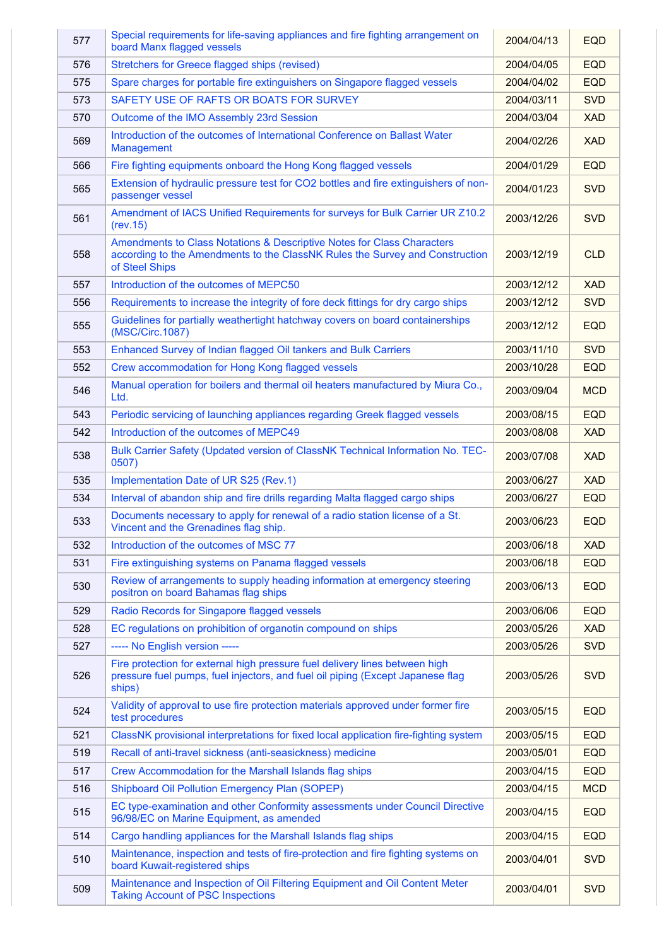| 577 | Special requirements for life-saving appliances and fire fighting arrangement on<br>board Manx flagged vessels                                                           | 2004/04/13 | <b>EQD</b> |
|-----|--------------------------------------------------------------------------------------------------------------------------------------------------------------------------|------------|------------|
| 576 | Stretchers for Greece flagged ships (revised)                                                                                                                            | 2004/04/05 | <b>EQD</b> |
| 575 | Spare charges for portable fire extinguishers on Singapore flagged vessels                                                                                               | 2004/04/02 | <b>EQD</b> |
| 573 | SAFETY USE OF RAFTS OR BOATS FOR SURVEY                                                                                                                                  | 2004/03/11 | <b>SVD</b> |
| 570 | Outcome of the IMO Assembly 23rd Session                                                                                                                                 | 2004/03/04 | <b>XAD</b> |
| 569 | Introduction of the outcomes of International Conference on Ballast Water<br>Management                                                                                  | 2004/02/26 | <b>XAD</b> |
| 566 | Fire fighting equipments onboard the Hong Kong flagged vessels                                                                                                           | 2004/01/29 | <b>EQD</b> |
| 565 | Extension of hydraulic pressure test for CO2 bottles and fire extinguishers of non-<br>passenger vessel                                                                  | 2004/01/23 | <b>SVD</b> |
| 561 | Amendment of IACS Unified Requirements for surveys for Bulk Carrier UR Z10.2<br>(rev.15)                                                                                 | 2003/12/26 | <b>SVD</b> |
| 558 | Amendments to Class Notations & Descriptive Notes for Class Characters<br>according to the Amendments to the ClassNK Rules the Survey and Construction<br>of Steel Ships | 2003/12/19 | <b>CLD</b> |
| 557 | Introduction of the outcomes of MEPC50                                                                                                                                   | 2003/12/12 | <b>XAD</b> |
| 556 | Requirements to increase the integrity of fore deck fittings for dry cargo ships                                                                                         | 2003/12/12 | <b>SVD</b> |
| 555 | Guidelines for partially weathertight hatchway covers on board containerships<br>(MSC/Circ.1087)                                                                         | 2003/12/12 | <b>EQD</b> |
| 553 | Enhanced Survey of Indian flagged Oil tankers and Bulk Carriers                                                                                                          | 2003/11/10 | <b>SVD</b> |
| 552 | Crew accommodation for Hong Kong flagged vessels                                                                                                                         | 2003/10/28 | <b>EQD</b> |
| 546 | Manual operation for boilers and thermal oil heaters manufactured by Miura Co.,<br>Ltd.                                                                                  | 2003/09/04 | <b>MCD</b> |
| 543 | Periodic servicing of launching appliances regarding Greek flagged vessels                                                                                               | 2003/08/15 | <b>EQD</b> |
| 542 | Introduction of the outcomes of MEPC49                                                                                                                                   | 2003/08/08 | <b>XAD</b> |
| 538 | Bulk Carrier Safety (Updated version of ClassNK Technical Information No. TEC-<br>0507)                                                                                  | 2003/07/08 | <b>XAD</b> |
| 535 | Implementation Date of UR S25 (Rev.1)                                                                                                                                    | 2003/06/27 | <b>XAD</b> |
| 534 | Interval of abandon ship and fire drills regarding Malta flagged cargo ships                                                                                             | 2003/06/27 | <b>EQD</b> |
| 533 | Documents necessary to apply for renewal of a radio station license of a St.<br>Vincent and the Grenadines flag ship.                                                    | 2003/06/23 | <b>EQD</b> |
| 532 | Introduction of the outcomes of MSC 77                                                                                                                                   | 2003/06/18 | <b>XAD</b> |
| 531 | Fire extinguishing systems on Panama flagged vessels                                                                                                                     | 2003/06/18 | <b>EQD</b> |
| 530 | Review of arrangements to supply heading information at emergency steering<br>positron on board Bahamas flag ships                                                       | 2003/06/13 | <b>EQD</b> |
| 529 | Radio Records for Singapore flagged vessels                                                                                                                              | 2003/06/06 | <b>EQD</b> |
| 528 | EC regulations on prohibition of organotin compound on ships                                                                                                             | 2003/05/26 | <b>XAD</b> |
| 527 | ----- No English version -----                                                                                                                                           | 2003/05/26 | <b>SVD</b> |
| 526 | Fire protection for external high pressure fuel delivery lines between high<br>pressure fuel pumps, fuel injectors, and fuel oil piping (Except Japanese flag<br>ships)  | 2003/05/26 | <b>SVD</b> |
| 524 | Validity of approval to use fire protection materials approved under former fire<br>test procedures                                                                      | 2003/05/15 | <b>EQD</b> |
| 521 | ClassNK provisional interpretations for fixed local application fire-fighting system                                                                                     | 2003/05/15 | <b>EQD</b> |
| 519 | Recall of anti-travel sickness (anti-seasickness) medicine                                                                                                               | 2003/05/01 | <b>EQD</b> |
| 517 | Crew Accommodation for the Marshall Islands flag ships                                                                                                                   | 2003/04/15 | <b>EQD</b> |
| 516 | <b>Shipboard Oil Pollution Emergency Plan (SOPEP)</b>                                                                                                                    | 2003/04/15 | <b>MCD</b> |
| 515 | EC type-examination and other Conformity assessments under Council Directive<br>96/98/EC on Marine Equipment, as amended                                                 | 2003/04/15 | <b>EQD</b> |
| 514 | Cargo handling appliances for the Marshall Islands flag ships                                                                                                            | 2003/04/15 | <b>EQD</b> |
| 510 | Maintenance, inspection and tests of fire-protection and fire fighting systems on<br>board Kuwait-registered ships                                                       | 2003/04/01 | <b>SVD</b> |
| 509 | Maintenance and Inspection of Oil Filtering Equipment and Oil Content Meter<br><b>Taking Account of PSC Inspections</b>                                                  | 2003/04/01 | <b>SVD</b> |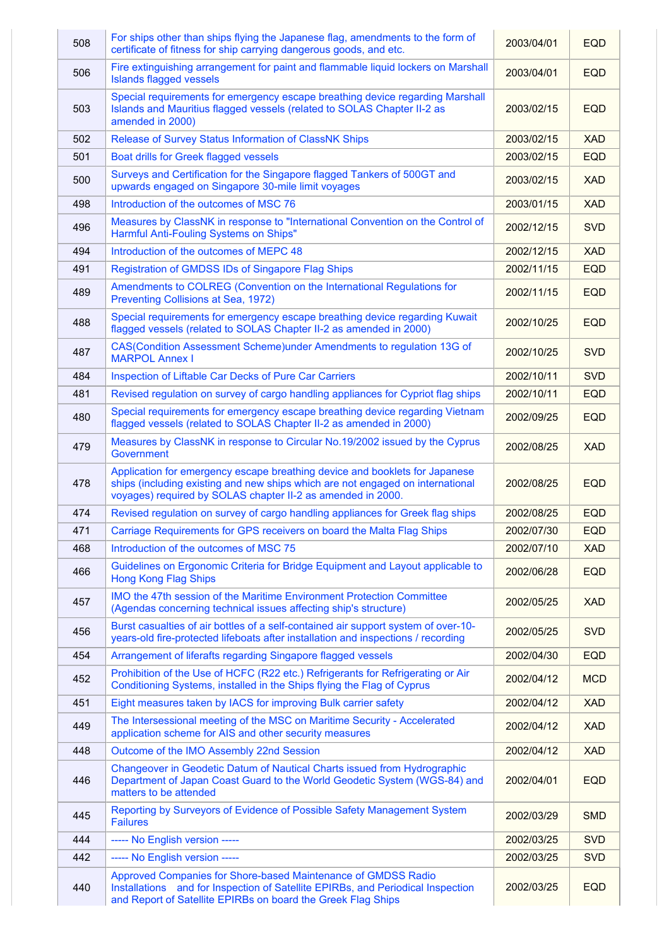| 508 | For ships other than ships flying the Japanese flag, amendments to the form of<br>certificate of fitness for ship carrying dangerous goods, and etc.                                                                         | 2003/04/01 | <b>EQD</b> |
|-----|------------------------------------------------------------------------------------------------------------------------------------------------------------------------------------------------------------------------------|------------|------------|
| 506 | Fire extinguishing arrangement for paint and flammable liquid lockers on Marshall<br><b>Islands flagged vessels</b>                                                                                                          | 2003/04/01 | <b>EQD</b> |
| 503 | Special requirements for emergency escape breathing device regarding Marshall<br>Islands and Mauritius flagged vessels (related to SOLAS Chapter II-2 as<br>amended in 2000)                                                 | 2003/02/15 | <b>EQD</b> |
| 502 | Release of Survey Status Information of ClassNK Ships                                                                                                                                                                        | 2003/02/15 | <b>XAD</b> |
| 501 | Boat drills for Greek flagged vessels                                                                                                                                                                                        | 2003/02/15 | <b>EQD</b> |
| 500 | Surveys and Certification for the Singapore flagged Tankers of 500GT and<br>upwards engaged on Singapore 30-mile limit voyages                                                                                               | 2003/02/15 | <b>XAD</b> |
| 498 | Introduction of the outcomes of MSC 76                                                                                                                                                                                       | 2003/01/15 | <b>XAD</b> |
| 496 | Measures by ClassNK in response to "International Convention on the Control of<br>Harmful Anti-Fouling Systems on Ships"                                                                                                     | 2002/12/15 | <b>SVD</b> |
| 494 | Introduction of the outcomes of MEPC 48                                                                                                                                                                                      | 2002/12/15 | <b>XAD</b> |
| 491 | Registration of GMDSS IDs of Singapore Flag Ships                                                                                                                                                                            | 2002/11/15 | <b>EQD</b> |
| 489 | Amendments to COLREG (Convention on the International Regulations for<br>Preventing Collisions at Sea, 1972)                                                                                                                 | 2002/11/15 | <b>EQD</b> |
| 488 | Special requirements for emergency escape breathing device regarding Kuwait<br>flagged vessels (related to SOLAS Chapter II-2 as amended in 2000)                                                                            | 2002/10/25 | <b>EQD</b> |
| 487 | CAS(Condition Assessment Scheme) under Amendments to regulation 13G of<br><b>MARPOL Annex I</b>                                                                                                                              | 2002/10/25 | <b>SVD</b> |
| 484 | Inspection of Liftable Car Decks of Pure Car Carriers                                                                                                                                                                        | 2002/10/11 | <b>SVD</b> |
| 481 | Revised regulation on survey of cargo handling appliances for Cypriot flag ships                                                                                                                                             | 2002/10/11 | <b>EQD</b> |
| 480 | Special requirements for emergency escape breathing device regarding Vietnam<br>flagged vessels (related to SOLAS Chapter II-2 as amended in 2000)                                                                           | 2002/09/25 | <b>EQD</b> |
| 479 | Measures by ClassNK in response to Circular No.19/2002 issued by the Cyprus<br>Government                                                                                                                                    | 2002/08/25 | <b>XAD</b> |
| 478 | Application for emergency escape breathing device and booklets for Japanese<br>ships (including existing and new ships which are not engaged on international<br>voyages) required by SOLAS chapter II-2 as amended in 2000. | 2002/08/25 | <b>EQD</b> |
| 474 | Revised regulation on survey of cargo handling appliances for Greek flag ships                                                                                                                                               | 2002/08/25 | <b>EQD</b> |
| 471 | Carriage Requirements for GPS receivers on board the Malta Flag Ships                                                                                                                                                        | 2002/07/30 | <b>EQD</b> |
| 468 | Introduction of the outcomes of MSC 75                                                                                                                                                                                       | 2002/07/10 | <b>XAD</b> |
| 466 | Guidelines on Ergonomic Criteria for Bridge Equipment and Layout applicable to<br><b>Hong Kong Flag Ships</b>                                                                                                                | 2002/06/28 | <b>EQD</b> |
| 457 | IMO the 47th session of the Maritime Environment Protection Committee<br>(Agendas concerning technical issues affecting ship's structure)                                                                                    | 2002/05/25 | <b>XAD</b> |
| 456 | Burst casualties of air bottles of a self-contained air support system of over-10-<br>years-old fire-protected lifeboats after installation and inspections / recording                                                      | 2002/05/25 | <b>SVD</b> |
| 454 | Arrangement of liferafts regarding Singapore flagged vessels                                                                                                                                                                 | 2002/04/30 | <b>EQD</b> |
| 452 | Prohibition of the Use of HCFC (R22 etc.) Refrigerants for Refrigerating or Air<br>Conditioning Systems, installed in the Ships flying the Flag of Cyprus                                                                    | 2002/04/12 | <b>MCD</b> |
| 451 | Eight measures taken by IACS for improving Bulk carrier safety                                                                                                                                                               | 2002/04/12 | <b>XAD</b> |
| 449 | The Intersessional meeting of the MSC on Maritime Security - Accelerated<br>application scheme for AIS and other security measures                                                                                           | 2002/04/12 | <b>XAD</b> |
| 448 | Outcome of the IMO Assembly 22nd Session                                                                                                                                                                                     | 2002/04/12 | <b>XAD</b> |
| 446 | Changeover in Geodetic Datum of Nautical Charts issued from Hydrographic<br>Department of Japan Coast Guard to the World Geodetic System (WGS-84) and<br>matters to be attended                                              | 2002/04/01 | <b>EQD</b> |
| 445 | Reporting by Surveyors of Evidence of Possible Safety Management System<br><b>Failures</b>                                                                                                                                   | 2002/03/29 | <b>SMD</b> |
| 444 | ----- No English version -----                                                                                                                                                                                               | 2002/03/25 | <b>SVD</b> |
| 442 | ----- No English version -----                                                                                                                                                                                               | 2002/03/25 | <b>SVD</b> |
| 440 | Approved Companies for Shore-based Maintenance of GMDSS Radio<br>Installations and for Inspection of Satellite EPIRBs, and Periodical Inspection<br>and Report of Satellite EPIRBs on board the Greek Flag Ships             | 2002/03/25 | <b>EQD</b> |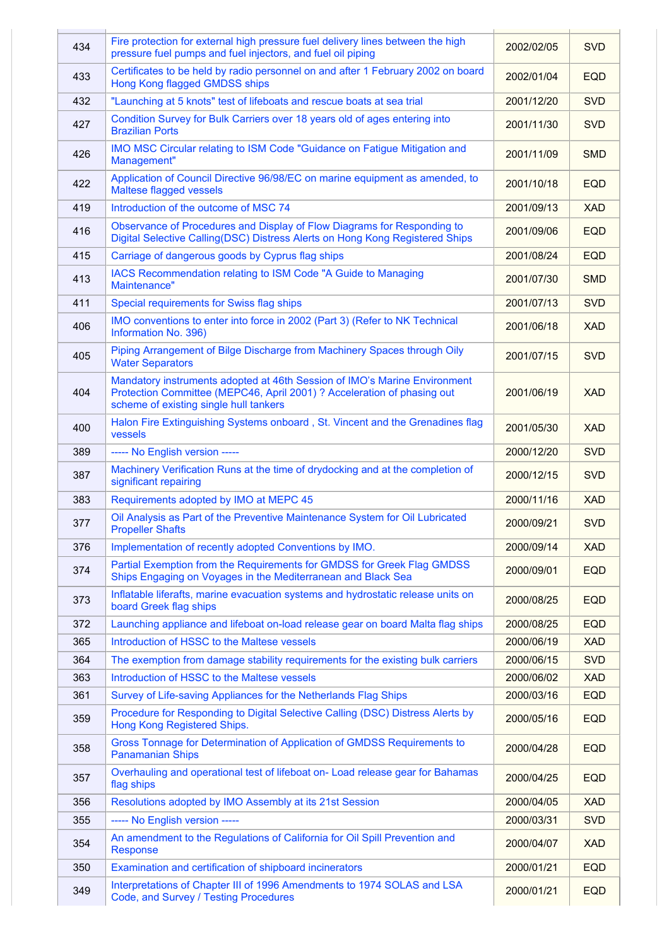| 434 | Fire protection for external high pressure fuel delivery lines between the high<br>pressure fuel pumps and fuel injectors, and fuel oil piping                                                 | 2002/02/05 | <b>SVD</b> |
|-----|------------------------------------------------------------------------------------------------------------------------------------------------------------------------------------------------|------------|------------|
| 433 | Certificates to be held by radio personnel on and after 1 February 2002 on board<br>Hong Kong flagged GMDSS ships                                                                              | 2002/01/04 | <b>EQD</b> |
| 432 | "Launching at 5 knots" test of lifeboats and rescue boats at sea trial                                                                                                                         | 2001/12/20 | <b>SVD</b> |
| 427 | Condition Survey for Bulk Carriers over 18 years old of ages entering into<br><b>Brazilian Ports</b>                                                                                           | 2001/11/30 | <b>SVD</b> |
| 426 | IMO MSC Circular relating to ISM Code "Guidance on Fatigue Mitigation and<br>Management"                                                                                                       | 2001/11/09 | <b>SMD</b> |
| 422 | Application of Council Directive 96/98/EC on marine equipment as amended, to<br>Maltese flagged vessels                                                                                        | 2001/10/18 | <b>EQD</b> |
| 419 | Introduction of the outcome of MSC 74                                                                                                                                                          | 2001/09/13 | <b>XAD</b> |
| 416 | Observance of Procedures and Display of Flow Diagrams for Responding to<br>Digital Selective Calling(DSC) Distress Alerts on Hong Kong Registered Ships                                        | 2001/09/06 | <b>EQD</b> |
| 415 | Carriage of dangerous goods by Cyprus flag ships                                                                                                                                               | 2001/08/24 | <b>EQD</b> |
| 413 | IACS Recommendation relating to ISM Code "A Guide to Managing<br>Maintenance"                                                                                                                  | 2001/07/30 | <b>SMD</b> |
| 411 | Special requirements for Swiss flag ships                                                                                                                                                      | 2001/07/13 | <b>SVD</b> |
| 406 | IMO conventions to enter into force in 2002 (Part 3) (Refer to NK Technical<br>Information No. 396)                                                                                            | 2001/06/18 | <b>XAD</b> |
| 405 | Piping Arrangement of Bilge Discharge from Machinery Spaces through Oily<br><b>Water Separators</b>                                                                                            | 2001/07/15 | <b>SVD</b> |
| 404 | Mandatory instruments adopted at 46th Session of IMO's Marine Environment<br>Protection Committee (MEPC46, April 2001) ? Acceleration of phasing out<br>scheme of existing single hull tankers | 2001/06/19 | <b>XAD</b> |
| 400 | Halon Fire Extinguishing Systems onboard, St. Vincent and the Grenadines flag<br>vessels                                                                                                       | 2001/05/30 | <b>XAD</b> |
| 389 | ----- No English version -----                                                                                                                                                                 | 2000/12/20 | <b>SVD</b> |
| 387 | Machinery Verification Runs at the time of drydocking and at the completion of<br>significant repairing                                                                                        | 2000/12/15 | <b>SVD</b> |
| 383 | Requirements adopted by IMO at MEPC 45                                                                                                                                                         | 2000/11/16 | <b>XAD</b> |
| 377 | Oil Analysis as Part of the Preventive Maintenance System for Oil Lubricated<br><b>Propeller Shafts</b>                                                                                        | 2000/09/21 | <b>SVD</b> |
| 376 | Implementation of recently adopted Conventions by IMO.                                                                                                                                         | 2000/09/14 | <b>XAD</b> |
| 374 | Partial Exemption from the Requirements for GMDSS for Greek Flag GMDSS<br>Ships Engaging on Voyages in the Mediterranean and Black Sea                                                         | 2000/09/01 | <b>EQD</b> |
| 373 | Inflatable liferafts, marine evacuation systems and hydrostatic release units on<br>board Greek flag ships                                                                                     | 2000/08/25 | <b>EQD</b> |
| 372 | Launching appliance and lifeboat on-load release gear on board Malta flag ships                                                                                                                | 2000/08/25 | <b>EQD</b> |
| 365 | Introduction of HSSC to the Maltese vessels                                                                                                                                                    | 2000/06/19 | <b>XAD</b> |
| 364 | The exemption from damage stability requirements for the existing bulk carriers                                                                                                                | 2000/06/15 | <b>SVD</b> |
| 363 | Introduction of HSSC to the Maltese vessels                                                                                                                                                    | 2000/06/02 | <b>XAD</b> |
| 361 | Survey of Life-saving Appliances for the Netherlands Flag Ships                                                                                                                                | 2000/03/16 | <b>EQD</b> |
| 359 | Procedure for Responding to Digital Selective Calling (DSC) Distress Alerts by<br>Hong Kong Registered Ships.                                                                                  | 2000/05/16 | <b>EQD</b> |
| 358 | Gross Tonnage for Determination of Application of GMDSS Requirements to<br><b>Panamanian Ships</b>                                                                                             | 2000/04/28 | <b>EQD</b> |
| 357 | Overhauling and operational test of lifeboat on- Load release gear for Bahamas<br>flag ships                                                                                                   | 2000/04/25 | <b>EQD</b> |
| 356 | Resolutions adopted by IMO Assembly at its 21st Session                                                                                                                                        | 2000/04/05 | <b>XAD</b> |
| 355 | ----- No English version -----                                                                                                                                                                 | 2000/03/31 | <b>SVD</b> |
| 354 | An amendment to the Regulations of California for Oil Spill Prevention and<br><b>Response</b>                                                                                                  | 2000/04/07 | <b>XAD</b> |
| 350 | Examination and certification of shipboard incinerators                                                                                                                                        | 2000/01/21 | <b>EQD</b> |
| 349 | Interpretations of Chapter III of 1996 Amendments to 1974 SOLAS and LSA<br>Code, and Survey / Testing Procedures                                                                               | 2000/01/21 | <b>EQD</b> |